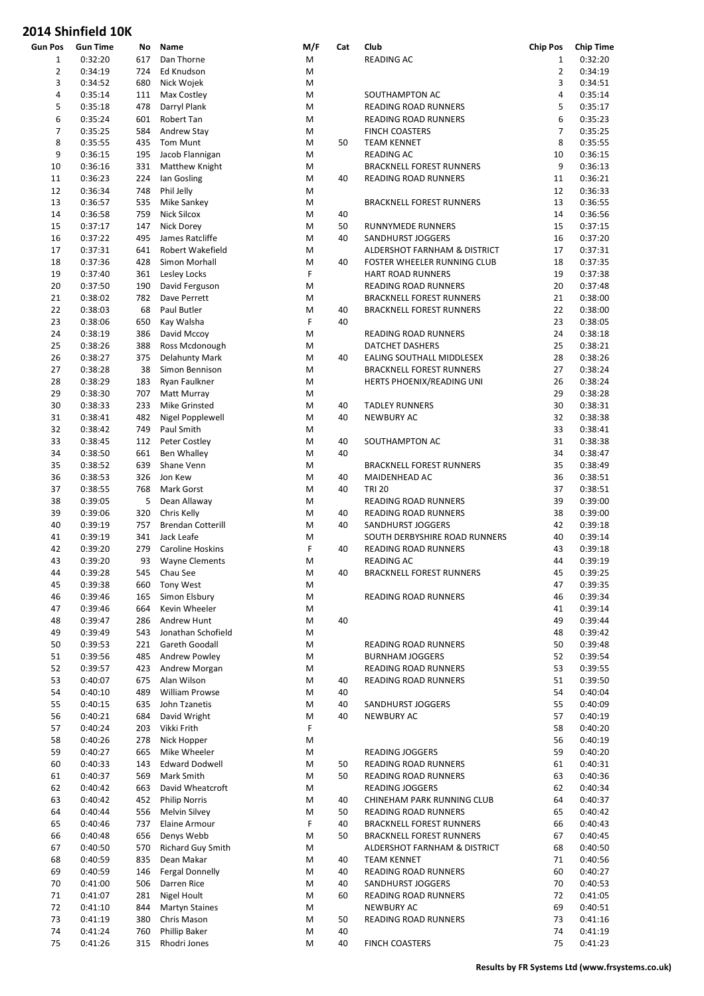| <b>Gun Pos</b> | <b>Gun Time</b> | No  | Name                     | M/F | Cat | Club                            | <b>Chip Pos</b> | <b>Chip Time</b> |
|----------------|-----------------|-----|--------------------------|-----|-----|---------------------------------|-----------------|------------------|
| $\mathbf{1}$   | 0:32:20         | 617 | Dan Thorne               | M   |     | READING AC                      | $\mathbf{1}$    | 0:32:20          |
| 2              | 0:34:19         | 724 | Ed Knudson               | M   |     |                                 | $\overline{2}$  | 0:34:19          |
| 3              | 0:34:52         | 680 | Nick Wojek               | M   |     |                                 | 3               | 0:34:51          |
| 4              | 0:35:14         | 111 | Max Costley              | M   |     | SOUTHAMPTON AC                  | $\overline{4}$  | 0:35:14          |
| 5              | 0:35:18         | 478 | Darryl Plank             | M   |     | READING ROAD RUNNERS            | 5               | 0:35:17          |
|                |                 |     |                          |     |     |                                 |                 |                  |
| 6              | 0:35:24         | 601 | Robert Tan               | M   |     | READING ROAD RUNNERS            | 6               | 0:35:23          |
| 7              | 0:35:25         | 584 | Andrew Stay              | M   |     | <b>FINCH COASTERS</b>           | 7               | 0:35:25          |
| 8              | 0:35:55         | 435 | Tom Munt                 | M   | 50  | <b>TEAM KENNET</b>              | 8               | 0:35:55          |
| 9              | 0:36:15         | 195 | Jacob Flannigan          | M   |     | <b>READING AC</b>               | 10              | 0:36:15          |
| 10             | 0:36:16         | 331 | Matthew Knight           | M   |     | <b>BRACKNELL FOREST RUNNERS</b> | 9               | 0:36:13          |
| 11             | 0:36:23         | 224 | Ian Gosling              | M   | 40  | READING ROAD RUNNERS            | 11              | 0:36:21          |
| 12             | 0:36:34         | 748 |                          | M   |     |                                 | 12              | 0:36:33          |
|                |                 |     | Phil Jelly               |     |     |                                 |                 |                  |
| 13             | 0:36:57         | 535 | Mike Sankey              | M   |     | <b>BRACKNELL FOREST RUNNERS</b> | 13              | 0:36:55          |
| 14             | 0:36:58         | 759 | <b>Nick Silcox</b>       | M   | 40  |                                 | 14              | 0:36:56          |
| 15             | 0:37:17         | 147 | Nick Dorey               | M   | 50  | <b>RUNNYMEDE RUNNERS</b>        | 15              | 0:37:15          |
| 16             | 0:37:22         | 495 | James Ratcliffe          | M   | 40  | SANDHURST JOGGERS               | 16              | 0:37:20          |
| 17             | 0:37:31         | 641 | Robert Wakefield         | M   |     | ALDERSHOT FARNHAM & DISTRICT    | 17              | 0:37:31          |
| 18             | 0:37:36         | 428 | Simon Morhall            | M   | 40  | FOSTER WHEELER RUNNING CLUB     | 18              | 0:37:35          |
|                |                 |     |                          |     |     |                                 |                 |                  |
| 19             | 0:37:40         | 361 | Lesley Locks             | F   |     | <b>HART ROAD RUNNERS</b>        | 19              | 0:37:38          |
| 20             | 0:37:50         | 190 | David Ferguson           | M   |     | READING ROAD RUNNERS            | 20              | 0:37:48          |
| 21             | 0:38:02         | 782 | Dave Perrett             | M   |     | <b>BRACKNELL FOREST RUNNERS</b> | 21              | 0:38:00          |
| 22             | 0:38:03         | 68  | Paul Butler              | M   | 40  | <b>BRACKNELL FOREST RUNNERS</b> | 22              | 0:38:00          |
| 23             | 0:38:06         | 650 | Kay Walsha               | F   | 40  |                                 | 23              | 0:38:05          |
| 24             |                 | 386 |                          | M   |     | READING ROAD RUNNERS            | 24              |                  |
|                | 0:38:19         |     | David Mccoy              |     |     |                                 |                 | 0:38:18          |
| 25             | 0:38:26         | 388 | Ross Mcdonough           | M   |     | <b>DATCHET DASHERS</b>          | 25              | 0:38:21          |
| 26             | 0:38:27         | 375 | <b>Delahunty Mark</b>    | M   | 40  | EALING SOUTHALL MIDDLESEX       | 28              | 0:38:26          |
| 27             | 0:38:28         | 38  | Simon Bennison           | M   |     | <b>BRACKNELL FOREST RUNNERS</b> | 27              | 0:38:24          |
| 28             | 0:38:29         | 183 | Ryan Faulkner            | M   |     | HERTS PHOENIX/READING UNI       | 26              | 0:38:24          |
| 29             | 0:38:30         | 707 | Matt Murray              | M   |     |                                 | 29              | 0:38:28          |
| 30             | 0:38:33         | 233 | Mike Grinsted            | M   | 40  | <b>TADLEY RUNNERS</b>           | 30              | 0:38:31          |
|                |                 |     |                          |     |     |                                 |                 |                  |
| 31             | 0:38:41         | 482 | Nigel Popplewell         | M   | 40  | NEWBURY AC                      | 32              | 0:38:38          |
| 32             | 0:38:42         | 749 | Paul Smith               | M   |     |                                 | 33              | 0:38:41          |
| 33             | 0:38:45         | 112 | Peter Costley            | M   | 40  | SOUTHAMPTON AC                  | 31              | 0:38:38          |
| 34             | 0:38:50         | 661 | Ben Whalley              | M   | 40  |                                 | 34              | 0:38:47          |
| 35             | 0:38:52         | 639 | Shane Venn               | M   |     | <b>BRACKNELL FOREST RUNNERS</b> | 35              | 0:38:49          |
|                |                 |     |                          |     |     |                                 | 36              |                  |
| 36             | 0:38:53         | 326 | Jon Kew                  | M   | 40  | MAIDENHEAD AC                   |                 | 0:38:51          |
| 37             | 0:38:55         | 768 | Mark Gorst               | M   | 40  | <b>TRI 20</b>                   | 37              | 0:38:51          |
| 38             | 0:39:05         | 5   | Dean Allaway             | M   |     | READING ROAD RUNNERS            | 39              | 0:39:00          |
| 39             | 0:39:06         | 320 | Chris Kelly              | M   | 40  | READING ROAD RUNNERS            | 38              | 0:39:00          |
| 40             | 0:39:19         | 757 | <b>Brendan Cotterill</b> | M   | 40  | SANDHURST JOGGERS               | 42              | 0:39:18          |
| 41             | 0:39:19         | 341 | Jack Leafe               | M   |     | SOUTH DERBYSHIRE ROAD RUNNERS   | 40              | 0:39:14          |
| 42             | 0:39:20         | 279 | Caroline Hoskins         | F   | 40  | READING ROAD RUNNERS            | 43              | 0:39:18          |
|                |                 |     |                          |     |     |                                 |                 |                  |
| 43             | 0:39:20         | 93  | <b>Wayne Clements</b>    | M   |     | <b>READING AC</b>               | 44              | 0:39:19          |
| 44             | 0:39:28         |     | 545 Chau See             | M   | 40  | <b>BRACKNELL FOREST RUNNERS</b> | 45              | 0:39:25          |
| 45             | 0:39:38         | 660 | Tony West                | M   |     |                                 | 47              | 0:39:35          |
| 46             | 0:39:46         | 165 | Simon Elsbury            | M   |     | READING ROAD RUNNERS            | 46              | 0:39:34          |
| 47             | 0:39:46         | 664 | Kevin Wheeler            | M   |     |                                 | 41              | 0:39:14          |
| 48             | 0:39:47         | 286 | Andrew Hunt              | M   | 40  |                                 | 49              | 0:39:44          |
| 49             | 0:39:49         | 543 | Jonathan Schofield       | M   |     |                                 | 48              | 0:39:42          |
|                |                 |     |                          |     |     |                                 |                 |                  |
| 50             | 0:39:53         | 221 | Gareth Goodall           | M   |     | READING ROAD RUNNERS            | 50              | 0:39:48          |
| 51             | 0:39:56         | 485 | Andrew Powley            | M   |     | <b>BURNHAM JOGGERS</b>          | 52              | 0:39:54          |
| 52             | 0:39:57         | 423 | Andrew Morgan            | M   |     | <b>READING ROAD RUNNERS</b>     | 53              | 0:39:55          |
| 53             | 0:40:07         | 675 | Alan Wilson              | M   | 40  | READING ROAD RUNNERS            | 51              | 0:39:50          |
| 54             | 0:40:10         | 489 | William Prowse           | M   | 40  |                                 | 54              | 0:40:04          |
| 55             | 0:40:15         | 635 | John Tzanetis            | M   | 40  | SANDHURST JOGGERS               | 55              | 0:40:09          |
|                |                 |     |                          |     |     |                                 |                 |                  |
| 56             | 0:40:21         | 684 | David Wright             | M   | 40  | <b>NEWBURY AC</b>               | 57              | 0:40:19          |
| 57             | 0:40:24         | 203 | Vikki Frith              | F   |     |                                 | 58              | 0:40:20          |
| 58             | 0:40:26         | 278 | Nick Hopper              | M   |     |                                 | 56              | 0:40:19          |
| 59             | 0:40:27         | 665 | Mike Wheeler             | M   |     | <b>READING JOGGERS</b>          | 59              | 0:40:20          |
| 60             | 0:40:33         | 143 | <b>Edward Dodwell</b>    | M   | 50  | READING ROAD RUNNERS            | 61              | 0:40:31          |
| 61             | 0:40:37         | 569 | Mark Smith               | M   | 50  | READING ROAD RUNNERS            | 63              | 0:40:36          |
|                |                 |     |                          |     |     |                                 |                 |                  |
| 62             | 0:40:42         | 663 | David Wheatcroft         | M   |     | <b>READING JOGGERS</b>          | 62              | 0:40:34          |
| 63             | 0:40:42         | 452 | <b>Philip Norris</b>     | M   | 40  | CHINEHAM PARK RUNNING CLUB      | 64              | 0:40:37          |
| 64             | 0:40:44         | 556 | Melvin Silvey            | M   | 50  | READING ROAD RUNNERS            | 65              | 0:40:42          |
| 65             | 0:40:46         | 737 | Elaine Armour            | F   | 40  | <b>BRACKNELL FOREST RUNNERS</b> | 66              | 0:40:43          |
| 66             | 0:40:48         | 656 | Denys Webb               | M   | 50  | <b>BRACKNELL FOREST RUNNERS</b> | 67              | 0:40:45          |
| 67             | 0:40:50         | 570 | <b>Richard Guy Smith</b> | M   |     | ALDERSHOT FARNHAM & DISTRICT    | 68              | 0:40:50          |
|                |                 |     |                          |     |     |                                 |                 |                  |
| 68             | 0:40:59         | 835 | Dean Makar               | M   | 40  | <b>TEAM KENNET</b>              | 71              | 0:40:56          |
| 69             | 0:40:59         | 146 | <b>Fergal Donnelly</b>   | M   | 40  | READING ROAD RUNNERS            | 60              | 0:40:27          |
| 70             | 0:41:00         | 506 | Darren Rice              | M   | 40  | SANDHURST JOGGERS               | 70              | 0:40:53          |
| 71             | 0:41:07         | 281 | Nigel Hoult              | M   | 60  | READING ROAD RUNNERS            | 72              | 0:41:05          |
| 72             | 0:41:10         | 844 | <b>Martyn Staines</b>    | M   |     | NEWBURY AC                      | 69              | 0:40:51          |
| 73             | 0:41:19         | 380 | Chris Mason              | M   | 50  | READING ROAD RUNNERS            | 73              | 0:41:16          |
| 74             |                 |     | Phillip Baker            |     |     |                                 | 74              | 0:41:19          |
|                | 0:41:24         | 760 |                          | M   | 40  |                                 |                 |                  |
| 75             | 0:41:26         | 315 | Rhodri Jones             | M   | 40  | <b>FINCH COASTERS</b>           | 75              | 0:41:23          |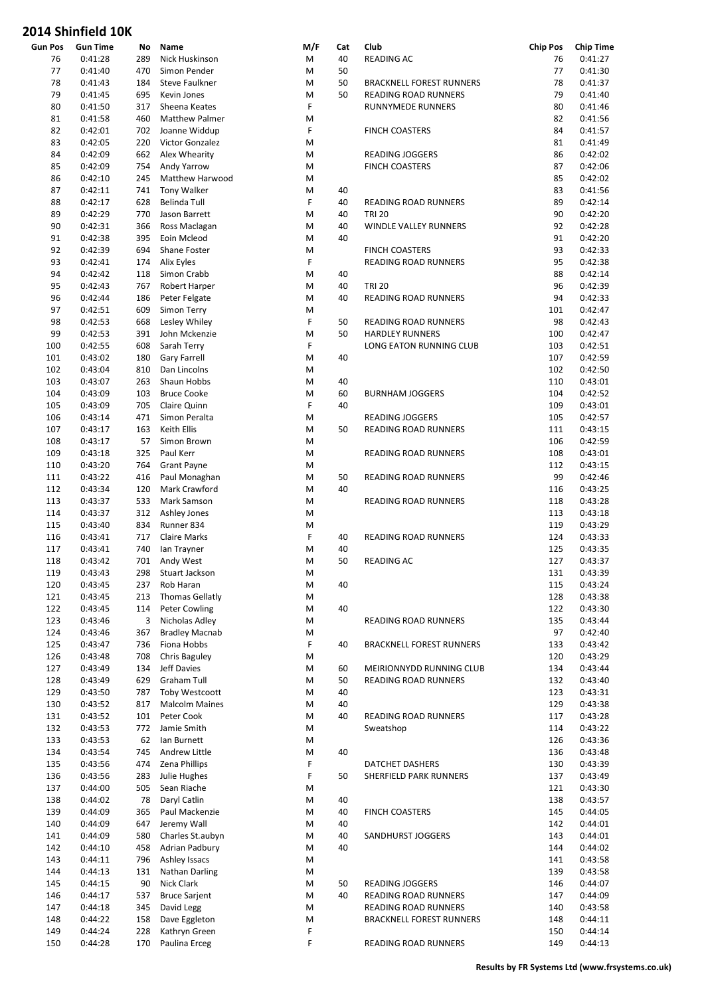| <b>Gun Pos</b> | <b>Gun Time</b> | No  | Name                   | M/F | Cat | Club                            | <b>Chip Pos</b> | <b>Chip Time</b> |
|----------------|-----------------|-----|------------------------|-----|-----|---------------------------------|-----------------|------------------|
| 76             | 0:41:28         | 289 | Nick Huskinson         | M   | 40  | READING AC                      | 76              | 0:41:27          |
| 77             | 0:41:40         | 470 | Simon Pender           | M   | 50  |                                 | 77              | 0:41:30          |
| 78             | 0:41:43         | 184 | <b>Steve Faulkner</b>  | M   | 50  | <b>BRACKNELL FOREST RUNNERS</b> | 78              | 0:41:37          |
| 79             | 0:41:45         | 695 | Kevin Jones            | M   | 50  | READING ROAD RUNNERS            | 79              | 0:41:40          |
| 80             | 0:41:50         | 317 | Sheena Keates          | F   |     | RUNNYMEDE RUNNERS               | 80              | 0:41:46          |
|                |                 |     |                        |     |     |                                 |                 |                  |
| 81             | 0:41:58         | 460 | Matthew Palmer         | M   |     |                                 | 82              | 0:41:56          |
| 82             | 0:42:01         | 702 | Joanne Widdup          | F   |     | <b>FINCH COASTERS</b>           | 84              | 0:41:57          |
| 83             | 0:42:05         | 220 | Victor Gonzalez        | M   |     |                                 | 81              | 0:41:49          |
| 84             | 0:42:09         | 662 | Alex Whearity          | M   |     | <b>READING JOGGERS</b>          | 86              | 0:42:02          |
| 85             | 0:42:09         | 754 | Andy Yarrow            | M   |     | <b>FINCH COASTERS</b>           | 87              | 0:42:06          |
| 86             | 0:42:10         | 245 | Matthew Harwood        | M   |     |                                 | 85              | 0:42:02          |
| 87             | 0:42:11         | 741 | Tony Walker            | M   | 40  |                                 | 83              | 0:41:56          |
|                |                 |     |                        |     |     |                                 |                 |                  |
| 88             | 0:42:17         | 628 | Belinda Tull           | F   | 40  | READING ROAD RUNNERS            | 89              | 0:42:14          |
| 89             | 0:42:29         | 770 | Jason Barrett          | M   | 40  | <b>TRI 20</b>                   | 90              | 0:42:20          |
| 90             | 0:42:31         | 366 | Ross Maclagan          | M   | 40  | WINDLE VALLEY RUNNERS           | 92              | 0:42:28          |
| 91             | 0:42:38         | 395 | Eoin Mcleod            | M   | 40  |                                 | 91              | 0:42:20          |
| 92             | 0:42:39         | 694 | Shane Foster           | M   |     | <b>FINCH COASTERS</b>           | 93              | 0:42:33          |
| 93             | 0:42:41         | 174 | Alix Eyles             | F   |     | READING ROAD RUNNERS            | 95              | 0:42:38          |
|                |                 |     |                        |     |     |                                 |                 |                  |
| 94             | 0:42:42         | 118 | Simon Crabb            | M   | 40  |                                 | 88              | 0:42:14          |
| 95             | 0:42:43         | 767 | Robert Harper          | M   | 40  | <b>TRI 20</b>                   | 96              | 0:42:39          |
| 96             | 0:42:44         | 186 | Peter Felgate          | M   | 40  | READING ROAD RUNNERS            | 94              | 0:42:33          |
| 97             | 0:42:51         | 609 | Simon Terry            | M   |     |                                 | 101             | 0:42:47          |
| 98             | 0:42:53         | 668 | Lesley Whiley          | F   | 50  | READING ROAD RUNNERS            | 98              | 0:42:43          |
| 99             | 0:42:53         | 391 | John Mckenzie          | M   | 50  | <b>HARDLEY RUNNERS</b>          | 100             | 0:42:47          |
|                |                 |     |                        |     |     |                                 |                 |                  |
| 100            | 0:42:55         | 608 | Sarah Terry            | F   |     | LONG EATON RUNNING CLUB         | 103             | 0:42:51          |
| 101            | 0:43:02         | 180 | <b>Gary Farrell</b>    | M   | 40  |                                 | 107             | 0:42:59          |
| 102            | 0:43:04         | 810 | Dan Lincolns           | M   |     |                                 | 102             | 0:42:50          |
| 103            | 0:43:07         | 263 | Shaun Hobbs            | M   | 40  |                                 | 110             | 0:43:01          |
| 104            | 0:43:09         | 103 | <b>Bruce Cooke</b>     | M   | 60  | <b>BURNHAM JOGGERS</b>          | 104             | 0:42:52          |
| 105            | 0:43:09         | 705 | Claire Quinn           | F   | 40  |                                 | 109             | 0:43:01          |
|                |                 |     |                        |     |     |                                 |                 |                  |
| 106            | 0:43:14         | 471 | Simon Peralta          | M   |     | <b>READING JOGGERS</b>          | 105             | 0:42:57          |
| 107            | 0:43:17         | 163 | Keith Ellis            | M   | 50  | READING ROAD RUNNERS            | 111             | 0:43:15          |
| 108            | 0:43:17         | 57  | Simon Brown            | M   |     |                                 | 106             | 0:42:59          |
| 109            | 0:43:18         | 325 | Paul Kerr              | M   |     | READING ROAD RUNNERS            | 108             | 0:43:01          |
| 110            | 0:43:20         | 764 | <b>Grant Payne</b>     | M   |     |                                 | 112             | 0:43:15          |
| 111            | 0:43:22         | 416 | Paul Monaghan          | M   | 50  | READING ROAD RUNNERS            | 99              | 0:42:46          |
| 112            | 0:43:34         | 120 | Mark Crawford          | M   | 40  |                                 | 116             | 0:43:25          |
|                | 0:43:37         |     |                        |     |     |                                 |                 | 0:43:28          |
| 113            |                 | 533 | Mark Samson            | M   |     | READING ROAD RUNNERS            | 118             |                  |
| 114            | 0:43:37         | 312 | Ashley Jones           | M   |     |                                 | 113             | 0:43:18          |
| 115            | 0:43:40         | 834 | Runner 834             | M   |     |                                 | 119             | 0:43:29          |
| 116            | 0:43:41         | 717 | <b>Claire Marks</b>    | F   | 40  | <b>READING ROAD RUNNERS</b>     | 124             | 0:43:33          |
| 117            | 0:43:41         | 740 | lan Trayner            | M   | 40  |                                 | 125             | 0:43:35          |
| 118            | 0:43:42         |     | 701 Andy West          | M   | 50  | READING AC                      | 127             | 0:43:37          |
| 119            | 0:43:43         |     | 298 Stuart Jackson     | M   |     |                                 | 131             | 0:43:39          |
|                |                 |     |                        |     |     |                                 |                 |                  |
| 120            | 0:43:45         | 237 | Rob Haran              | M   | 40  |                                 | 115             | 0:43:24          |
| 121            | 0:43:45         | 213 | <b>Thomas Gellatly</b> | M   |     |                                 | 128             | 0:43:38          |
| 122            | 0:43:45         | 114 | Peter Cowling          | M   | 40  |                                 | 122             | 0:43:30          |
| 123            | 0:43:46         | 3   | Nicholas Adley         | M   |     | READING ROAD RUNNERS            | 135             | 0:43:44          |
| 124            | 0:43:46         | 367 | <b>Bradley Macnab</b>  | M   |     |                                 | 97              | 0:42:40          |
| 125            | 0:43:47         | 736 | Fiona Hobbs            | F   | 40  | <b>BRACKNELL FOREST RUNNERS</b> | 133             | 0:43:42          |
| 126            | 0:43:48         | 708 | Chris Baguley          | M   |     |                                 | 120             | 0:43:29          |
|                |                 |     |                        |     |     |                                 |                 |                  |
| 127            | 0:43:49         | 134 | <b>Jeff Davies</b>     | M   | 60  | MEIRIONNYDD RUNNING CLUB        | 134             | 0:43:44          |
| 128            | 0:43:49         | 629 | Graham Tull            | M   | 50  | READING ROAD RUNNERS            | 132             | 0:43:40          |
| 129            | 0:43:50         | 787 | Toby Westcoott         | M   | 40  |                                 | 123             | 0:43:31          |
| 130            | 0:43:52         | 817 | <b>Malcolm Maines</b>  | M   | 40  |                                 | 129             | 0:43:38          |
| 131            | 0:43:52         | 101 | Peter Cook             | M   | 40  | READING ROAD RUNNERS            | 117             | 0:43:28          |
| 132            | 0:43:53         | 772 | Jamie Smith            | M   |     | Sweatshop                       | 114             | 0:43:22          |
|                |                 |     |                        | M   |     |                                 |                 |                  |
| 133            | 0:43:53         | 62  | Ian Burnett            |     |     |                                 | 126             | 0:43:36          |
| 134            | 0:43:54         | 745 | Andrew Little          | M   | 40  |                                 | 136             | 0:43:48          |
| 135            | 0:43:56         | 474 | Zena Phillips          | F   |     | DATCHET DASHERS                 | 130             | 0:43:39          |
| 136            | 0:43:56         | 283 | Julie Hughes           | F   | 50  | SHERFIELD PARK RUNNERS          | 137             | 0:43:49          |
| 137            | 0:44:00         | 505 | Sean Riache            | M   |     |                                 | 121             | 0:43:30          |
| 138            | 0:44:02         | 78  | Daryl Catlin           | M   | 40  |                                 | 138             | 0:43:57          |
| 139            | 0:44:09         | 365 | Paul Mackenzie         | M   | 40  | <b>FINCH COASTERS</b>           | 145             | 0:44:05          |
| 140            | 0:44:09         | 647 | Jeremy Wall            | M   | 40  |                                 | 142             | 0:44:01          |
|                |                 |     |                        |     |     |                                 |                 |                  |
| 141            | 0:44:09         | 580 | Charles St.aubyn       | M   | 40  | SANDHURST JOGGERS               | 143             | 0:44:01          |
| 142            | 0:44:10         | 458 | <b>Adrian Padbury</b>  | M   | 40  |                                 | 144             | 0:44:02          |
| 143            | 0:44:11         | 796 | Ashley Issacs          | M   |     |                                 | 141             | 0:43:58          |
| 144            | 0:44:13         | 131 | <b>Nathan Darling</b>  | M   |     |                                 | 139             | 0:43:58          |
| 145            | 0:44:15         | 90  | Nick Clark             | M   | 50  | READING JOGGERS                 | 146             | 0:44:07          |
| 146            | 0:44:17         | 537 | <b>Bruce Sarjent</b>   | M   | 40  | READING ROAD RUNNERS            | 147             | 0:44:09          |
| 147            |                 | 345 | David Legg             | M   |     |                                 | 140             | 0:43:58          |
|                | 0:44:18         |     |                        |     |     | READING ROAD RUNNERS            |                 |                  |
| 148            | 0:44:22         | 158 | Dave Eggleton          | M   |     | <b>BRACKNELL FOREST RUNNERS</b> | 148             | 0:44:11          |
| 149            | 0:44:24         | 228 | Kathryn Green          | F   |     |                                 | 150             | 0:44:14          |
| 150            | 0:44:28         | 170 | Paulina Erceg          | F   |     | READING ROAD RUNNERS            | 149             | 0:44:13          |
|                |                 |     |                        |     |     |                                 |                 |                  |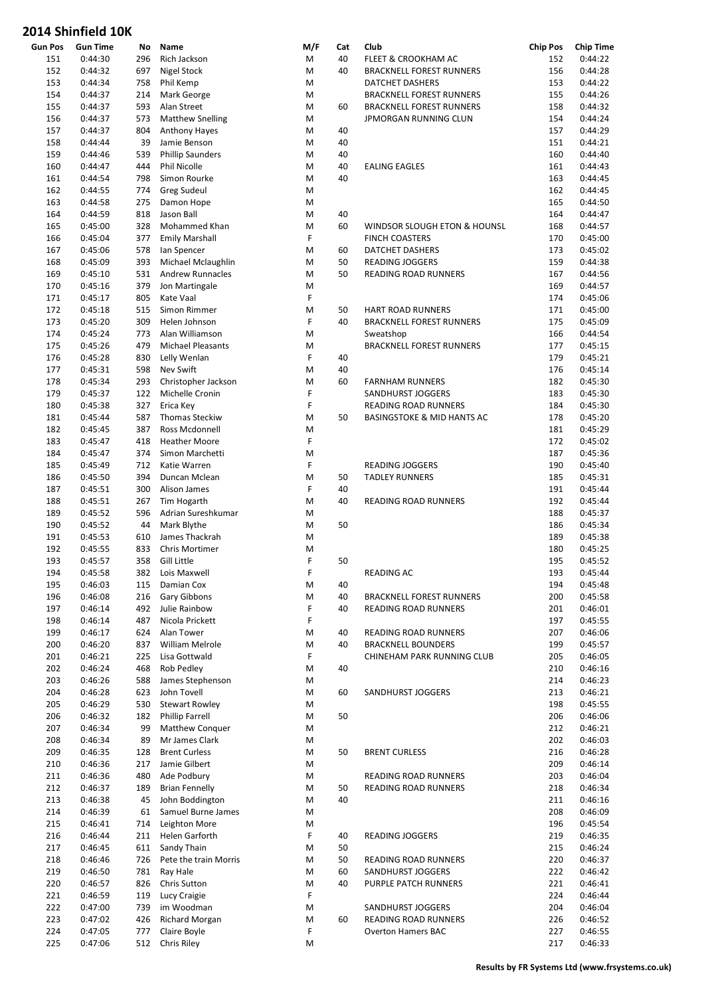| <b>Gun Pos</b> | <b>Gun Time</b>    | No         | Name                                  | M/F    | Cat | Club                                      | <b>Chip Pos</b> | <b>Chip Time</b>   |
|----------------|--------------------|------------|---------------------------------------|--------|-----|-------------------------------------------|-----------------|--------------------|
| 151            | 0:44:30            | 296        | Rich Jackson                          | M      | 40  | FLEET & CROOKHAM AC                       | 152             | 0:44:22            |
| 152            | 0:44:32            | 697        | Nigel Stock                           | M      | 40  | <b>BRACKNELL FOREST RUNNERS</b>           | 156             | 0:44:28            |
| 153            | 0:44:34            | 758        | Phil Kemp                             | M      |     | DATCHET DASHERS                           | 153             | 0:44:22            |
| 154            | 0:44:37            | 214        | Mark George                           | M      |     | <b>BRACKNELL FOREST RUNNERS</b>           | 155             | 0:44:26            |
| 155            | 0:44:37            | 593        | Alan Street                           | M      | 60  | <b>BRACKNELL FOREST RUNNERS</b>           | 158             | 0:44:32            |
| 156            | 0:44:37            | 573        | <b>Matthew Snelling</b>               | M      |     | JPMORGAN RUNNING CLUN                     | 154             | 0:44:24            |
| 157            | 0:44:37            | 804        | <b>Anthony Hayes</b>                  | M      | 40  |                                           | 157             | 0:44:29            |
| 158            | 0:44:44            | 39         | Jamie Benson                          | M      | 40  |                                           | 151             | 0:44:21            |
| 159            | 0:44:46            | 539        | <b>Phillip Saunders</b>               | M      | 40  |                                           | 160             | 0:44:40            |
| 160            | 0:44:47            | 444        | <b>Phil Nicolle</b>                   | M      | 40  | <b>EALING EAGLES</b>                      | 161             | 0:44:43            |
| 161            | 0:44:54            | 798        | Simon Rourke                          | M      | 40  |                                           | 163             | 0:44:45            |
| 162            | 0:44:55            | 774        | <b>Greg Sudeul</b>                    | M      |     |                                           | 162             | 0:44:45            |
| 163            | 0:44:58            | 275        | Damon Hope                            | M      |     |                                           | 165             | 0:44:50            |
| 164            | 0:44:59            | 818        | Jason Ball                            | M      | 40  |                                           | 164             | 0:44:47            |
| 165            | 0:45:00            | 328        | Mohammed Khan                         | M      | 60  | WINDSOR SLOUGH ETON & HOUNSL              | 168             | 0:44:57            |
| 166            | 0:45:04            | 377        | <b>Emily Marshall</b>                 | F      |     | <b>FINCH COASTERS</b>                     | 170             | 0:45:00            |
| 167            | 0:45:06            | 578        | Ian Spencer                           | M      | 60  | DATCHET DASHERS                           | 173             | 0:45:02            |
| 168            | 0:45:09            | 393        | Michael Mclaughlin                    | M      | 50  | <b>READING JOGGERS</b>                    | 159             | 0:44:38            |
| 169            | 0:45:10            | 531        | <b>Andrew Runnacles</b>               | M      | 50  | READING ROAD RUNNERS                      | 167             | 0:44:56            |
| 170            | 0:45:16            | 379        | Jon Martingale                        | M      |     |                                           | 169             | 0:44:57            |
| 171            | 0:45:17            | 805        | Kate Vaal                             | F      |     |                                           | 174             | 0:45:06            |
| 172            | 0:45:18            | 515        | Simon Rimmer                          | M      | 50  | <b>HART ROAD RUNNERS</b>                  | 171             | 0:45:00            |
| 173            | 0:45:20            | 309        | Helen Johnson                         | F      | 40  | <b>BRACKNELL FOREST RUNNERS</b>           | 175             | 0:45:09            |
| 174            | 0:45:24            | 773        | Alan Williamson                       | M      |     | Sweatshop                                 | 166             | 0:44:54            |
| 175            | 0:45:26            | 479        | <b>Michael Pleasants</b>              | M      |     | <b>BRACKNELL FOREST RUNNERS</b>           | 177             | 0:45:15            |
| 176            | 0:45:28            | 830        | Lelly Wenlan                          | F      | 40  |                                           | 179             | 0:45:21            |
| 177            | 0:45:31            | 598        | Nev Swift                             | M      | 40  |                                           | 176             | 0:45:14            |
| 178            | 0:45:34            | 293        | Christopher Jackson                   | M      | 60  | <b>FARNHAM RUNNERS</b>                    | 182             | 0:45:30            |
| 179            | 0:45:37            | 122        | Michelle Cronin                       | F      |     | SANDHURST JOGGERS                         | 183             | 0:45:30            |
| 180            | 0:45:38            | 327        | Erica Key                             | F      |     | READING ROAD RUNNERS                      | 184             | 0:45:30            |
| 181            | 0:45:44            | 587        | <b>Thomas Steckiw</b>                 | M      | 50  | <b>BASINGSTOKE &amp; MID HANTS AC</b>     | 178             | 0:45:20            |
| 182            | 0:45:45            | 387        | Ross Mcdonnell                        | M      |     |                                           | 181             | 0:45:29            |
| 183            | 0:45:47            | 418        | <b>Heather Moore</b>                  | F      |     |                                           | 172             | 0:45:02            |
| 184            | 0:45:47            | 374        | Simon Marchetti                       | M      |     |                                           | 187             | 0:45:36            |
| 185            | 0:45:49            | 712        | Katie Warren                          | F      |     | <b>READING JOGGERS</b>                    | 190             | 0:45:40            |
| 186            | 0:45:50            | 394        | Duncan Mclean                         | M      | 50  | <b>TADLEY RUNNERS</b>                     | 185             | 0:45:31            |
| 187            | 0:45:51            | 300        | Alison James                          | F      | 40  |                                           | 191             | 0:45:44            |
| 188            | 0:45:51            | 267        | Tim Hogarth                           | M      | 40  | READING ROAD RUNNERS                      | 192             | 0:45:44            |
| 189            | 0:45:52            | 596        | Adrian Sureshkumar                    | M      |     |                                           | 188             | 0:45:37            |
| 190            | 0:45:52            | 44         | Mark Blythe                           | M      | 50  |                                           | 186             | 0:45:34            |
| 191            | 0:45:53            | 610        | James Thackrah                        | M      |     |                                           | 189             | 0:45:38            |
| 192            | 0:45:55            | 833        | Chris Mortimer                        | M      |     |                                           | 180             | 0:45:25            |
| 193            | 0:45:57            | 358        | Gill Little                           | F      | 50  |                                           | 195             | 0:45:52            |
| 194            | 0:45:58            |            | 382 Lois Maxwell                      | F      |     | <b>READING AC</b>                         | 193             | 0:45:44            |
| 195            | 0:46:03            | 115        | Damian Cox                            | M      | 40  |                                           | 194             | 0:45:48            |
| 196            | 0:46:08            | 216        | Gary Gibbons                          | M      | 40  | <b>BRACKNELL FOREST RUNNERS</b>           | 200             | 0:45:58            |
| 197            | 0:46:14            | 492        | Julie Rainbow                         | F      | 40  | READING ROAD RUNNERS                      | 201             | 0:46:01            |
| 198            | 0:46:14            | 487        | Nicola Prickett                       | F      |     |                                           | 197             | 0:45:55            |
| 199            | 0:46:17            | 624        | Alan Tower                            | M      | 40  | READING ROAD RUNNERS                      | 207             | 0:46:06            |
| 200            | 0:46:20            | 837        | William Melrole                       | M      | 40  | <b>BRACKNELL BOUNDERS</b>                 | 199             | 0:45:57            |
| 201            | 0:46:21            | 225        | Lisa Gottwald                         | F      |     | CHINEHAM PARK RUNNING CLUB                | 205             | 0:46:05            |
| 202            | 0:46:24            | 468        | Rob Pedley                            | M      | 40  |                                           | 210             | 0:46:16            |
| 203            | 0:46:26            | 588        | James Stephenson                      | M      |     |                                           | 214             | 0:46:23            |
| 204            | 0:46:28            | 623        | John Tovell                           | M      | 60  | SANDHURST JOGGERS                         | 213             | 0:46:21            |
| 205            | 0:46:29            | 530        | <b>Stewart Rowley</b>                 | M      |     |                                           | 198             | 0:45:55            |
| 206            | 0:46:32            | 182        | <b>Phillip Farrell</b>                | M      | 50  |                                           | 206             | 0:46:06            |
| 207            | 0:46:34            | 99         | <b>Matthew Conquer</b>                | M      |     |                                           | 212             | 0:46:21            |
| 208            | 0:46:34            | 89         | Mr James Clark                        | M      |     |                                           | 202             | 0:46:03            |
| 209            | 0:46:35            | 128        | <b>Brent Curless</b>                  | M      | 50  | <b>BRENT CURLESS</b>                      | 216             | 0:46:28            |
| 210            | 0:46:36            | 217        | Jamie Gilbert                         | M      |     |                                           | 209             | 0:46:14            |
| 211            | 0:46:36            | 480        | Ade Podbury                           | M      |     | READING ROAD RUNNERS                      | 203             | 0:46:04            |
| 212            | 0:46:37            | 189        | <b>Brian Fennelly</b>                 | M      | 50  | READING ROAD RUNNERS                      | 218             | 0:46:34            |
| 213<br>214     | 0:46:38<br>0:46:39 | 45<br>61   | John Boddington<br>Samuel Burne James | M<br>M | 40  |                                           | 211<br>208      | 0:46:16<br>0:46:09 |
| 215            |                    |            | Leighton More                         | M      |     |                                           | 196             | 0:45:54            |
| 216            | 0:46:41<br>0:46:44 | 714<br>211 | Helen Garforth                        | F      | 40  | READING JOGGERS                           | 219             | 0:46:35            |
| 217            | 0:46:45            | 611        | Sandy Thain                           | M      | 50  |                                           | 215             | 0:46:24            |
| 218            |                    | 726        | Pete the train Morris                 | M      | 50  |                                           | 220             | 0:46:37            |
| 219            | 0:46:46<br>0:46:50 | 781        | Ray Hale                              | M      | 60  | READING ROAD RUNNERS<br>SANDHURST JOGGERS | 222             | 0:46:42            |
| 220            | 0:46:57            | 826        | Chris Sutton                          | M      | 40  | PURPLE PATCH RUNNERS                      | 221             | 0:46:41            |
| 221            | 0:46:59            | 119        | Lucy Craigie                          | F      |     |                                           | 224             | 0:46:44            |
| 222            | 0:47:00            | 739        | im Woodman                            | M      |     | SANDHURST JOGGERS                         | 204             | 0:46:04            |
| 223            | 0:47:02            | 426        | <b>Richard Morgan</b>                 | M      | 60  | READING ROAD RUNNERS                      | 226             | 0:46:52            |
| 224            | 0:47:05            | 777        | Claire Boyle                          | F      |     | <b>Overton Hamers BAC</b>                 | 227             | 0:46:55            |
| 225            | 0:47:06            | 512        | Chris Riley                           | M      |     |                                           | 217             | 0:46:33            |
|                |                    |            |                                       |        |     |                                           |                 |                    |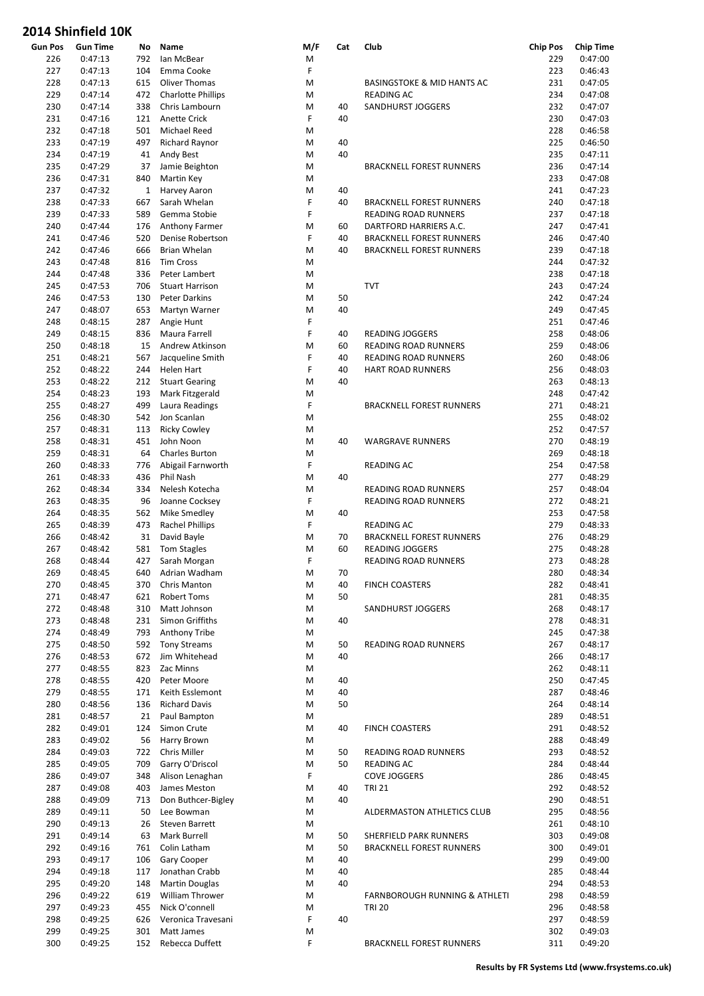| <b>Gun Pos</b> | <b>Gun Time</b> | No           | Name                                      | M/F | Cat | Club                                  | <b>Chip Pos</b> | <b>Chip Time</b> |
|----------------|-----------------|--------------|-------------------------------------------|-----|-----|---------------------------------------|-----------------|------------------|
| 226            | 0:47:13         | 792          | lan McBear                                | M   |     |                                       | 229             | 0:47:00          |
| 227            | 0:47:13         | 104          | Emma Cooke                                | F   |     |                                       | 223             | 0:46:43          |
| 228            | 0:47:13         | 615          | <b>Oliver Thomas</b>                      | M   |     | <b>BASINGSTOKE &amp; MID HANTS AC</b> | 231             | 0:47:05          |
| 229            | 0:47:14         | 472          | <b>Charlotte Phillips</b>                 | M   |     | READING AC                            | 234             | 0:47:08          |
| 230            | 0:47:14         | 338          | Chris Lambourn                            | M   | 40  | SANDHURST JOGGERS                     | 232             | 0:47:07          |
| 231            | 0:47:16         | 121          | Anette Crick                              | F   | 40  |                                       | 230             | 0:47:03          |
| 232            | 0:47:18         | 501          | <b>Michael Reed</b>                       | M   |     |                                       | 228             | 0:46:58          |
| 233            | 0:47:19         | 497          | <b>Richard Raynor</b>                     | M   | 40  |                                       | 225             | 0:46:50          |
| 234            | 0:47:19         | 41           | Andy Best                                 | M   | 40  |                                       | 235             | 0:47:11          |
| 235            | 0:47:29         | 37           | Jamie Beighton                            | M   |     | <b>BRACKNELL FOREST RUNNERS</b>       | 236             | 0:47:14          |
| 236            | 0:47:31         | 840          | Martin Key                                | М   |     |                                       | 233             | 0:47:08          |
| 237            | 0:47:32         | $\mathbf{1}$ | Harvey Aaron                              | M   | 40  |                                       | 241             | 0:47:23          |
| 238            | 0:47:33         | 667          | Sarah Whelan                              | F   | 40  | <b>BRACKNELL FOREST RUNNERS</b>       | 240             | 0:47:18          |
| 239            | 0:47:33         | 589          | Gemma Stobie                              | F   |     | READING ROAD RUNNERS                  | 237             | 0:47:18          |
| 240            | 0:47:44         | 176          |                                           | M   | 60  | DARTFORD HARRIERS A.C.                | 247             | 0:47:41          |
| 241            | 0:47:46         | 520          | <b>Anthony Farmer</b><br>Denise Robertson | F   | 40  | <b>BRACKNELL FOREST RUNNERS</b>       | 246             | 0:47:40          |
| 242            | 0:47:46         | 666          | Brian Whelan                              | M   | 40  |                                       | 239             | 0:47:18          |
|                |                 |              |                                           |     |     | <b>BRACKNELL FOREST RUNNERS</b>       |                 |                  |
| 243            | 0:47:48         | 816          | <b>Tim Cross</b>                          | M   |     |                                       | 244             | 0:47:32          |
| 244            | 0:47:48         | 336          | Peter Lambert                             | M   |     |                                       | 238             | 0:47:18          |
| 245            | 0:47:53         | 706          | <b>Stuart Harrison</b>                    | M   |     | <b>TVT</b>                            | 243             | 0:47:24          |
| 246            | 0:47:53         | 130          | <b>Peter Darkins</b>                      | M   | 50  |                                       | 242             | 0:47:24          |
| 247            | 0:48:07         | 653          | Martyn Warner                             | M   | 40  |                                       | 249             | 0:47:45          |
| 248            | 0:48:15         | 287          | Angie Hunt                                | F   |     |                                       | 251             | 0:47:46          |
| 249            | 0:48:15         | 836          | Maura Farrell                             | F   | 40  | <b>READING JOGGERS</b>                | 258             | 0:48:06          |
| 250            | 0:48:18         | 15           | Andrew Atkinson                           | M   | 60  | READING ROAD RUNNERS                  | 259             | 0:48:06          |
| 251            | 0:48:21         | 567          | Jacqueline Smith                          | F   | 40  | READING ROAD RUNNERS                  | 260             | 0:48:06          |
| 252            | 0:48:22         | 244          | Helen Hart                                | F   | 40  | <b>HART ROAD RUNNERS</b>              | 256             | 0:48:03          |
| 253            | 0:48:22         | 212          | <b>Stuart Gearing</b>                     | M   | 40  |                                       | 263             | 0:48:13          |
| 254            | 0:48:23         | 193          | Mark Fitzgerald                           | M   |     |                                       | 248             | 0:47:42          |
| 255            | 0:48:27         | 499          | Laura Readings                            | F   |     | <b>BRACKNELL FOREST RUNNERS</b>       | 271             | 0:48:21          |
| 256            | 0:48:30         | 542          | Jon Scanlan                               | M   |     |                                       | 255             | 0:48:02          |
| 257            | 0:48:31         | 113          | <b>Ricky Cowley</b>                       | M   |     |                                       | 252             | 0:47:57          |
| 258            | 0:48:31         | 451          | John Noon                                 | M   | 40  | <b>WARGRAVE RUNNERS</b>               | 270             | 0:48:19          |
| 259            | 0:48:31         | 64           | <b>Charles Burton</b>                     | M   |     |                                       | 269             | 0:48:18          |
| 260            | 0:48:33         | 776          | Abigail Farnworth                         | F   |     | READING AC                            | 254             | 0:47:58          |
| 261            | 0:48:33         | 436          | Phil Nash                                 | M   | 40  |                                       | 277             | 0:48:29          |
| 262            | 0:48:34         | 334          | Nelesh Kotecha                            | M   |     | READING ROAD RUNNERS                  | 257             | 0:48:04          |
| 263            | 0:48:35         | 96           | Joanne Cocksey                            | F   |     | READING ROAD RUNNERS                  | 272             | 0:48:21          |
| 264            | 0:48:35         | 562          | Mike Smedley                              | M   | 40  |                                       | 253             | 0:47:58          |
| 265            | 0:48:39         | 473          | Rachel Phillips                           | F   |     | READING AC                            | 279             | 0:48:33          |
| 266            | 0:48:42         | 31           | David Bayle                               | M   | 70  | <b>BRACKNELL FOREST RUNNERS</b>       | 276             | 0:48:29          |
| 267            | 0:48:42         | 581          | Tom Stagles                               | M   | 60  | READING JOGGERS                       | 275             | 0:48:28          |
| 268            | 0:48:44         | 427          | Sarah Morgan                              | F   |     | READING ROAD RUNNERS                  | 273             | 0:48:28          |
| 269            | 0:48:45         | 640          | Adrian Wadham                             | M   | 70  |                                       | 280             | 0:48:34          |
|                |                 |              |                                           |     |     |                                       |                 |                  |
| 270            | 0:48:45         | 370          | Chris Manton                              | М   | 40  | <b>FINCH COASTERS</b>                 | 282             | 0:48:41          |
| 271            | 0:48:47         | 621          | Robert Toms                               | М   | 50  |                                       | 281             | 0:48:35          |
| 272            | 0:48:48         | 310          | Matt Johnson                              | M   |     | SANDHURST JOGGERS                     | 268             | 0:48:17          |
| 273            | 0:48:48         | 231          | Simon Griffiths                           | M   | 40  |                                       | 278             | 0:48:31          |
| 274            | 0:48:49         | 793          | Anthony Tribe                             | М   |     |                                       | 245             | 0:47:38          |
| 275            | 0:48:50         | 592          | <b>Tony Streams</b>                       | М   | 50  | READING ROAD RUNNERS                  | 267             | 0:48:17          |
| 276            | 0:48:53         | 672          | Jim Whitehead                             | М   | 40  |                                       | 266             | 0:48:17          |
| 277            | 0:48:55         | 823          | Zac Minns                                 | М   |     |                                       | 262             | 0:48:11          |
| 278            | 0:48:55         | 420          | Peter Moore                               | М   | 40  |                                       | 250             | 0:47:45          |
| 279            | 0:48:55         | 171          | Keith Esslemont                           | M   | 40  |                                       | 287             | 0:48:46          |
| 280            | 0:48:56         | 136          | <b>Richard Davis</b>                      | М   | 50  |                                       | 264             | 0:48:14          |
| 281            | 0:48:57         | 21           | Paul Bampton                              | М   |     |                                       | 289             | 0:48:51          |
| 282            | 0:49:01         | 124          | Simon Crute                               | М   | 40  | <b>FINCH COASTERS</b>                 | 291             | 0:48:52          |
| 283            | 0:49:02         | 56           | Harry Brown                               | М   |     |                                       | 288             | 0:48:49          |
| 284            | 0:49:03         | 722          | Chris Miller                              | M   | 50  | READING ROAD RUNNERS                  | 293             | 0:48:52          |
| 285            | 0:49:05         | 709          | Garry O'Driscol                           | М   | 50  | READING AC                            | 284             | 0:48:44          |
| 286            | 0:49:07         | 348          | Alison Lenaghan                           | F   |     | <b>COVE JOGGERS</b>                   | 286             | 0:48:45          |
| 287            | 0:49:08         | 403          | James Meston                              | М   | 40  | <b>TRI 21</b>                         | 292             | 0:48:52          |
| 288            | 0:49:09         | 713          | Don Buthcer-Bigley                        | М   | 40  |                                       | 290             | 0:48:51          |
| 289            | 0:49:11         | 50           | Lee Bowman                                | М   |     | ALDERMASTON ATHLETICS CLUB            | 295             | 0:48:56          |
| 290            | 0:49:13         | 26           | <b>Steven Barrett</b>                     | M   |     |                                       | 261             | 0:48:10          |
| 291            | 0:49:14         | 63           | Mark Burrell                              | М   | 50  | SHERFIELD PARK RUNNERS                | 303             | 0:49:08          |
| 292            | 0:49:16         | 761          | Colin Latham                              | M   | 50  | BRACKNELL FOREST RUNNERS              | 300             | 0:49:01          |
| 293            | 0:49:17         | 106          | Gary Cooper                               | М   | 40  |                                       | 299             | 0:49:00          |
| 294            | 0:49:18         | 117          | Jonathan Crabb                            | М   | 40  |                                       | 285             | 0:48:44          |
| 295            | 0:49:20         | 148          | <b>Martin Douglas</b>                     | M   | 40  |                                       | 294             | 0:48:53          |
|                |                 |              |                                           |     |     |                                       |                 |                  |
| 296            | 0:49:22         | 619          | William Thrower                           | М   |     | FARNBOROUGH RUNNING & ATHLETI         | 298             | 0:48:59          |
| 297            | 0:49:23         | 455          | Nick O'connell                            | M   |     | <b>TRI 20</b>                         | 296             | 0:48:58          |
| 298            | 0:49:25         | 626          | Veronica Travesani                        | F   | 40  |                                       | 297             | 0:48:59          |
| 299            | 0:49:25         | 301          | Matt James                                | М   |     |                                       | 302             | 0:49:03          |
| 300            | 0:49:25         | 152          | Rebecca Duffett                           | F   |     | BRACKNELL FOREST RUNNERS              | 311             | 0:49:20          |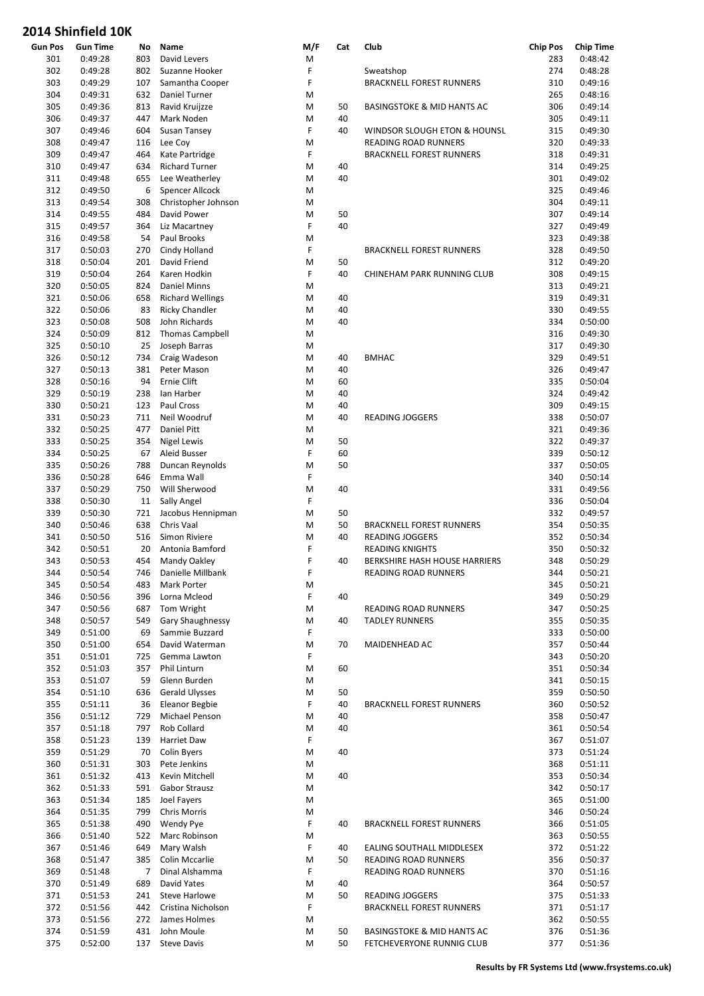| <b>Gun Pos</b> | <b>Gun Time</b> | No  | Name                    | M/F | Cat | Club                                  | <b>Chip Pos</b> | <b>Chip Time</b> |
|----------------|-----------------|-----|-------------------------|-----|-----|---------------------------------------|-----------------|------------------|
| 301            | 0:49:28         | 803 | David Levers            | M   |     |                                       | 283             | 0:48:42          |
| 302            | 0:49:28         | 802 | Suzanne Hooker          | F   |     | Sweatshop                             | 274             | 0:48:28          |
| 303            | 0:49:29         | 107 | Samantha Cooper         | F   |     | <b>BRACKNELL FOREST RUNNERS</b>       | 310             | 0:49:16          |
| 304            | 0:49:31         | 632 | Daniel Turner           | M   |     |                                       | 265             | 0:48:16          |
| 305            | 0:49:36         | 813 | Ravid Kruijzze          | M   | 50  | <b>BASINGSTOKE &amp; MID HANTS AC</b> | 306             | 0:49:14          |
| 306            | 0:49:37         | 447 | Mark Noden              | M   | 40  |                                       | 305             | 0:49:11          |
| 307            | 0:49:46         | 604 | Susan Tansey            | F   | 40  | WINDSOR SLOUGH ETON & HOUNSL          | 315             | 0:49:30          |
| 308            | 0:49:47         | 116 | Lee Coy                 | M   |     | READING ROAD RUNNERS                  | 320             | 0:49:33          |
| 309            | 0:49:47         | 464 | Kate Partridge          | F   |     | <b>BRACKNELL FOREST RUNNERS</b>       | 318             | 0:49:31          |
| 310            | 0:49:47         | 634 | <b>Richard Turner</b>   | M   | 40  |                                       | 314             | 0:49:25          |
| 311            | 0:49:48         | 655 | Lee Weatherley          | M   | 40  |                                       | 301             | 0:49:02          |
|                |                 |     | Spencer Allcock         |     |     |                                       |                 | 0:49:46          |
| 312            | 0:49:50         | 6   |                         | M   |     |                                       | 325             |                  |
| 313            | 0:49:54         | 308 | Christopher Johnson     | M   |     |                                       | 304             | 0:49:11          |
| 314            | 0:49:55         | 484 | David Power             | M   | 50  |                                       | 307             | 0:49:14          |
| 315            | 0:49:57         | 364 | Liz Macartney           | F   | 40  |                                       | 327             | 0:49:49          |
| 316            | 0:49:58         | 54  | Paul Brooks             | M   |     |                                       | 323             | 0:49:38          |
| 317            | 0:50:03         | 270 | Cindy Holland           | F   |     | <b>BRACKNELL FOREST RUNNERS</b>       | 328             | 0:49:50          |
| 318            | 0:50:04         | 201 | David Friend            | M   | 50  |                                       | 312             | 0:49:20          |
| 319            | 0:50:04         | 264 | Karen Hodkin            | F   | 40  | CHINEHAM PARK RUNNING CLUB            | 308             | 0:49:15          |
| 320            | 0:50:05         | 824 | <b>Daniel Minns</b>     | M   |     |                                       | 313             | 0:49:21          |
| 321            | 0:50:06         | 658 | <b>Richard Wellings</b> | M   | 40  |                                       | 319             | 0:49:31          |
| 322            | 0:50:06         | 83  | <b>Ricky Chandler</b>   | M   | 40  |                                       | 330             | 0:49:55          |
| 323            | 0:50:08         | 508 | John Richards           | M   | 40  |                                       | 334             | 0:50:00          |
| 324            | 0:50:09         | 812 | <b>Thomas Campbell</b>  | M   |     |                                       | 316             | 0:49:30          |
| 325            | 0:50:10         | 25  | Joseph Barras           | M   |     |                                       | 317             | 0:49:30          |
|                |                 |     |                         |     |     |                                       |                 |                  |
| 326            | 0:50:12         | 734 | Craig Wadeson           | M   | 40  | <b>BMHAC</b>                          | 329             | 0:49:51          |
| 327            | 0:50:13         | 381 | Peter Mason             | M   | 40  |                                       | 326             | 0:49:47          |
| 328            | 0:50:16         | 94  | Ernie Clift             | M   | 60  |                                       | 335             | 0:50:04          |
| 329            | 0:50:19         | 238 | Ian Harber              | M   | 40  |                                       | 324             | 0:49:42          |
| 330            | 0:50:21         | 123 | Paul Cross              | M   | 40  |                                       | 309             | 0:49:15          |
| 331            | 0:50:23         | 711 | Neil Woodruf            | M   | 40  | <b>READING JOGGERS</b>                | 338             | 0:50:07          |
| 332            | 0:50:25         | 477 | Daniel Pitt             | M   |     |                                       | 321             | 0:49:36          |
| 333            | 0:50:25         | 354 | Nigel Lewis             | M   | 50  |                                       | 322             | 0:49:37          |
| 334            | 0:50:25         | 67  | Aleid Busser            | F   | 60  |                                       | 339             | 0:50:12          |
| 335            | 0:50:26         | 788 | Duncan Reynolds         | M   | 50  |                                       | 337             | 0:50:05          |
| 336            | 0:50:28         | 646 | Emma Wall               | F   |     |                                       | 340             | 0:50:14          |
| 337            | 0:50:29         | 750 | Will Sherwood           | M   | 40  |                                       | 331             | 0:49:56          |
| 338            | 0:50:30         | 11  | Sally Angel             | F   |     |                                       | 336             | 0:50:04          |
| 339            | 0:50:30         | 721 | Jacobus Hennipman       | M   | 50  |                                       | 332             | 0:49:57          |
|                |                 |     |                         |     | 50  |                                       |                 |                  |
| 340            | 0:50:46         | 638 | Chris Vaal              | M   |     | <b>BRACKNELL FOREST RUNNERS</b>       | 354             | 0:50:35          |
| 341            | 0:50:50         | 516 | Simon Riviere           | M   | 40  | <b>READING JOGGERS</b>                | 352             | 0:50:34          |
| 342            | 0:50:51         | 20  | Antonia Bamford         | F   |     | <b>READING KNIGHTS</b>                | 350             | 0:50:32          |
| 343            | 0:50:53         | 454 | Mandy Oakley            | F   | 40  | BERKSHIRE HASH HOUSE HARRIERS         | 348             | 0:50:29          |
| 344            | 0:50:54         |     | 746 Danielle Millbank   | F   |     | READING ROAD RUNNERS                  | 344             | 0:50:21          |
| 345            | 0:50:54         | 483 | Mark Porter             | M   |     |                                       | 345             | 0:50:21          |
| 346            | 0:50:56         | 396 | Lorna Mcleod            | F   | 40  |                                       | 349             | 0:50:29          |
| 347            | 0:50:56         | 687 | Tom Wright              | M   |     | READING ROAD RUNNERS                  | 347             | 0:50:25          |
| 348            | 0:50:57         | 549 | Gary Shaughnessy        | M   | 40  | <b>TADLEY RUNNERS</b>                 | 355             | 0:50:35          |
| 349            | 0:51:00         | 69  | Sammie Buzzard          | F   |     |                                       | 333             | 0:50:00          |
| 350            | 0:51:00         | 654 | David Waterman          | M   | 70  | MAIDENHEAD AC                         | 357             | 0:50:44          |
| 351            | 0:51:01         | 725 | Gemma Lawton            | F   |     |                                       | 343             | 0:50:20          |
| 352            | 0:51:03         | 357 | Phil Linturn            | M   | 60  |                                       | 351             | 0:50:34          |
| 353            | 0:51:07         | 59  | Glenn Burden            | M   |     |                                       | 341             | 0:50:15          |
| 354            | 0:51:10         | 636 | <b>Gerald Ulysses</b>   | M   | 50  |                                       | 359             | 0:50:50          |
| 355            | 0:51:11         | 36  | <b>Eleanor Begbie</b>   | F   | 40  | <b>BRACKNELL FOREST RUNNERS</b>       | 360             | 0:50:52          |
|                |                 |     | Michael Penson          |     |     |                                       |                 |                  |
| 356            | 0:51:12         | 729 |                         | M   | 40  |                                       | 358             | 0:50:47          |
| 357            | 0:51:18         | 797 | Rob Collard             | M   | 40  |                                       | 361             | 0:50:54          |
| 358            | 0:51:23         | 139 | Harriet Daw             | F   |     |                                       | 367             | 0:51:07          |
| 359            | 0:51:29         | 70  | <b>Colin Byers</b>      | M   | 40  |                                       | 373             | 0:51:24          |
| 360            | 0:51:31         | 303 | Pete Jenkins            | M   |     |                                       | 368             | 0:51:11          |
| 361            | 0:51:32         | 413 | Kevin Mitchell          | M   | 40  |                                       | 353             | 0:50:34          |
| 362            | 0:51:33         | 591 | Gabor Strausz           | M   |     |                                       | 342             | 0:50:17          |
| 363            | 0:51:34         | 185 | Joel Fayers             | M   |     |                                       | 365             | 0:51:00          |
| 364            | 0:51:35         | 799 | Chris Morris            | M   |     |                                       | 346             | 0:50:24          |
| 365            | 0:51:38         | 490 | Wendy Pye               | F   | 40  | <b>BRACKNELL FOREST RUNNERS</b>       | 366             | 0:51:05          |
| 366            | 0:51:40         | 522 | Marc Robinson           | M   |     |                                       | 363             | 0:50:55          |
| 367            | 0:51:46         | 649 | Mary Walsh              | F   | 40  | EALING SOUTHALL MIDDLESEX             | 372             | 0:51:22          |
| 368            | 0:51:47         | 385 | Colin Mccarlie          | M   | 50  | READING ROAD RUNNERS                  | 356             | 0:50:37          |
| 369            | 0:51:48         | 7   | Dinal Alshamma          | F   |     | READING ROAD RUNNERS                  | 370             | 0:51:16          |
| 370            | 0:51:49         | 689 | David Yates             | M   | 40  |                                       | 364             | 0:50:57          |
|                |                 |     |                         |     |     |                                       |                 |                  |
| 371            | 0:51:53         | 241 | Steve Harlowe           | M   | 50  | <b>READING JOGGERS</b>                | 375             | 0:51:33          |
| 372            | 0:51:56         | 442 | Cristina Nicholson      | F   |     | <b>BRACKNELL FOREST RUNNERS</b>       | 371             | 0:51:17          |
| 373            | 0:51:56         | 272 | James Holmes            | M   |     |                                       | 362             | 0:50:55          |
| 374            | 0:51:59         | 431 | John Moule              | M   | 50  | <b>BASINGSTOKE &amp; MID HANTS AC</b> | 376             | 0:51:36          |
| 375            | 0:52:00         | 137 | <b>Steve Davis</b>      | М   | 50  | FETCHEVERYONE RUNNIG CLUB             | 377             | 0:51:36          |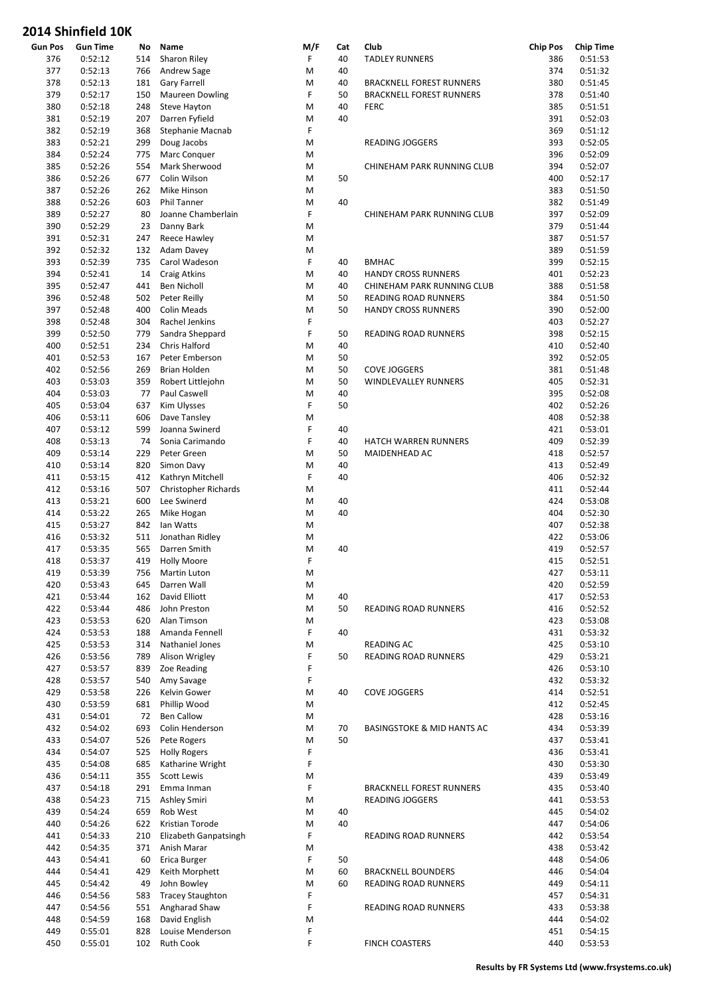| <b>Gun Pos</b> | <b>Gun Time</b>    | No         | Name                                 | M/F    | Cat | Club                                  | <b>Chip Pos</b> | <b>Chip Time</b>   |
|----------------|--------------------|------------|--------------------------------------|--------|-----|---------------------------------------|-----------------|--------------------|
| 376            | 0:52:12            | 514        | Sharon Riley                         | F      | 40  | <b>TADLEY RUNNERS</b>                 | 386             | 0:51:53            |
| 377            | 0:52:13            | 766        | Andrew Sage                          | M      | 40  |                                       | 374             | 0:51:32            |
| 378            | 0:52:13            | 181        | <b>Gary Farrell</b>                  | M      | 40  | <b>BRACKNELL FOREST RUNNERS</b>       | 380             | 0:51:45            |
| 379            | 0:52:17            | 150        | <b>Maureen Dowling</b>               | F      | 50  | <b>BRACKNELL FOREST RUNNERS</b>       | 378             | 0:51:40            |
| 380            | 0:52:18            | 248        | Steve Hayton                         | M      | 40  | <b>FERC</b>                           | 385             | 0:51:51            |
| 381            | 0:52:19            | 207        | Darren Fyfield                       | M      | 40  |                                       | 391             | 0:52:03            |
| 382            | 0:52:19            | 368        | Stephanie Macnab                     | F      |     |                                       | 369             | 0:51:12            |
| 383            | 0:52:21            | 299        | Doug Jacobs                          | M      |     | <b>READING JOGGERS</b>                | 393             | 0:52:05            |
| 384            | 0:52:24            | 775        | Marc Conquer                         | M      |     |                                       | 396             | 0:52:09            |
| 385            | 0:52:26            | 554        | Mark Sherwood                        | M      |     | CHINEHAM PARK RUNNING CLUB            | 394             | 0:52:07            |
| 386            | 0:52:26            | 677        | Colin Wilson                         | M      | 50  |                                       | 400             | 0:52:17            |
| 387            | 0:52:26            | 262        | Mike Hinson                          | M      |     |                                       | 383             | 0:51:50            |
| 388            | 0:52:26            | 603        | Phil Tanner                          | M      | 40  |                                       | 382             | 0:51:49            |
| 389            | 0:52:27            | 80         | Joanne Chamberlain                   | F      |     | CHINEHAM PARK RUNNING CLUB            | 397             | 0:52:09            |
| 390            | 0:52:29            | 23         | Danny Bark                           | M      |     |                                       | 379             | 0:51:44            |
| 391            | 0:52:31            | 247        | Reece Hawley                         | M<br>M |     |                                       | 387             | 0:51:57            |
| 392            | 0:52:32            | 132<br>735 | Adam Davey                           | F      | 40  | <b>BMHAC</b>                          | 389<br>399      | 0:51:59            |
| 393<br>394     | 0:52:39<br>0:52:41 | 14         | Carol Wadeson<br><b>Craig Atkins</b> | M      | 40  | <b>HANDY CROSS RUNNERS</b>            | 401             | 0:52:15<br>0:52:23 |
| 395            | 0:52:47            | 441        | Ben Nicholl                          | M      | 40  | CHINEHAM PARK RUNNING CLUB            | 388             | 0:51:58            |
| 396            | 0:52:48            | 502        | Peter Reilly                         | M      | 50  | READING ROAD RUNNERS                  | 384             | 0:51:50            |
| 397            | 0:52:48            | 400        | <b>Colin Meads</b>                   | M      | 50  | <b>HANDY CROSS RUNNERS</b>            | 390             | 0:52:00            |
| 398            | 0:52:48            | 304        | Rachel Jenkins                       | F      |     |                                       | 403             | 0:52:27            |
| 399            | 0:52:50            | 779        | Sandra Sheppard                      | F      | 50  | READING ROAD RUNNERS                  | 398             | 0:52:15            |
| 400            | 0:52:51            | 234        | Chris Halford                        | M      | 40  |                                       | 410             | 0:52:40            |
| 401            | 0:52:53            | 167        | Peter Emberson                       | M      | 50  |                                       | 392             | 0:52:05            |
| 402            | 0:52:56            | 269        | <b>Brian Holden</b>                  | M      | 50  | <b>COVE JOGGERS</b>                   | 381             | 0:51:48            |
| 403            | 0:53:03            | 359        | Robert Littlejohn                    | M      | 50  | WINDLEVALLEY RUNNERS                  | 405             | 0:52:31            |
| 404            | 0:53:03            | 77         | Paul Caswell                         | M      | 40  |                                       | 395             | 0:52:08            |
| 405            | 0:53:04            | 637        | Kim Ulysses                          | F      | 50  |                                       | 402             | 0:52:26            |
| 406            | 0:53:11            | 606        | Dave Tansley                         | M      |     |                                       | 408             | 0:52:38            |
| 407            | 0:53:12            | 599        | Joanna Swinerd                       | F      | 40  |                                       | 421             | 0:53:01            |
| 408            | 0:53:13            | 74         | Sonia Carimando                      | F      | 40  | HATCH WARREN RUNNERS                  | 409             | 0:52:39            |
| 409            | 0:53:14            | 229        | Peter Green                          | M      | 50  | MAIDENHEAD AC                         | 418             | 0:52:57            |
| 410            | 0:53:14            | 820        | Simon Davy                           | M      | 40  |                                       | 413             | 0:52:49            |
| 411            | 0:53:15            | 412        | Kathryn Mitchell                     | F      | 40  |                                       | 406             | 0:52:32            |
| 412            | 0:53:16            | 507        | <b>Christopher Richards</b>          | M      |     |                                       | 411             | 0:52:44            |
| 413            | 0:53:21            | 600        | Lee Swinerd                          | M      | 40  |                                       | 424             | 0:53:08            |
| 414            | 0:53:22            | 265        | Mike Hogan                           | M      | 40  |                                       | 404             | 0:52:30            |
| 415            | 0:53:27            | 842        | lan Watts                            | M      |     |                                       | 407             | 0:52:38            |
| 416            | 0:53:32            | 511        | Jonathan Ridley                      | M      |     |                                       | 422             | 0:53:06            |
| 417            | 0:53:35            | 565        | Darren Smith                         | M      | 40  |                                       | 419             | 0:52:57            |
| 418            | 0:53:37            | 419        | <b>Holly Moore</b>                   | F      |     |                                       | 415             | 0:52:51            |
| 419            | 0:53:39            |            | 756 Martin Luton                     | M      |     |                                       | 427             | 0:53:11            |
| 420            | 0:53:43            | 645        | Darren Wall                          | M      |     |                                       | 420             | 0:52:59            |
| 421            | 0:53:44            | 162        | David Elliott                        | M      | 40  |                                       | 417             | 0:52:53            |
| 422            | 0:53:44            | 486        | John Preston                         | M      | 50  | <b>READING ROAD RUNNERS</b>           | 416             | 0:52:52            |
| 423            | 0:53:53            | 620        | Alan Timson                          | M      |     |                                       | 423             | 0:53:08            |
| 424            | 0:53:53            | 188        | Amanda Fennell                       | F      | 40  |                                       | 431             | 0:53:32            |
| 425            | 0:53:53            | 314        | Nathaniel Jones                      | M      |     | READING AC                            | 425             | 0:53:10            |
| 426            | 0:53:56            | 789        | Alison Wrigley                       | F      | 50  | READING ROAD RUNNERS                  | 429             | 0:53:21            |
| 427            | 0:53:57            | 839        | Zoe Reading                          | F      |     |                                       | 426             | 0:53:10            |
| 428            | 0:53:57            | 540        | Amy Savage                           | F      |     |                                       | 432             | 0:53:32            |
| 429            | 0:53:58            | 226        | Kelvin Gower                         | M      | 40  | <b>COVE JOGGERS</b>                   | 414             | 0:52:51            |
| 430            | 0:53:59            | 681        | Phillip Wood                         | M      |     |                                       | 412             | 0:52:45            |
| 431<br>432     | 0:54:01<br>0:54:02 | 72<br>693  | <b>Ben Callow</b><br>Colin Henderson | M<br>M | 70  | <b>BASINGSTOKE &amp; MID HANTS AC</b> | 428<br>434      | 0:53:16<br>0:53:39 |
| 433            | 0:54:07            | 526        | Pete Rogers                          | M      | 50  |                                       | 437             | 0:53:41            |
| 434            | 0:54:07            | 525        | <b>Holly Rogers</b>                  | F      |     |                                       | 436             | 0:53:41            |
| 435            | 0:54:08            | 685        | Katharine Wright                     | F      |     |                                       | 430             | 0:53:30            |
| 436            | 0:54:11            | 355        | Scott Lewis                          | M      |     |                                       | 439             | 0:53:49            |
| 437            | 0:54:18            | 291        | Emma Inman                           | F      |     | <b>BRACKNELL FOREST RUNNERS</b>       | 435             | 0:53:40            |
| 438            | 0:54:23            | 715        | Ashley Smiri                         | M      |     | <b>READING JOGGERS</b>                | 441             | 0:53:53            |
| 439            | 0:54:24            | 659        | Rob West                             | M      | 40  |                                       | 445             | 0:54:02            |
| 440            | 0:54:26            | 622        | Kristian Torode                      | M      | 40  |                                       | 447             | 0:54:06            |
| 441            | 0:54:33            | 210        | Elizabeth Ganpatsingh                | F      |     | READING ROAD RUNNERS                  | 442             | 0:53:54            |
| 442            | 0:54:35            | 371        | Anish Marar                          | M      |     |                                       | 438             | 0:53:42            |
| 443            | 0:54:41            | 60         | Erica Burger                         | F      | 50  |                                       | 448             | 0:54:06            |
| 444            | 0:54:41            | 429        | Keith Morphett                       | M      | 60  | <b>BRACKNELL BOUNDERS</b>             | 446             | 0:54:04            |
| 445            | 0:54:42            | 49         | John Bowley                          | M      | 60  | READING ROAD RUNNERS                  | 449             | 0:54:11            |
| 446            | 0:54:56            | 583        | <b>Tracey Staughton</b>              | F      |     |                                       | 457             | 0:54:31            |
| 447            | 0:54:56            | 551        | Angharad Shaw                        | F      |     | READING ROAD RUNNERS                  | 433             | 0:53:38            |
| 448            | 0:54:59            | 168        | David English                        | M      |     |                                       | 444             | 0:54:02            |
| 449            | 0:55:01            | 828        | Louise Menderson                     | F      |     |                                       | 451             | 0:54:15            |
| 450            | 0:55:01            | 102        | <b>Ruth Cook</b>                     | F      |     | <b>FINCH COASTERS</b>                 | 440             | 0:53:53            |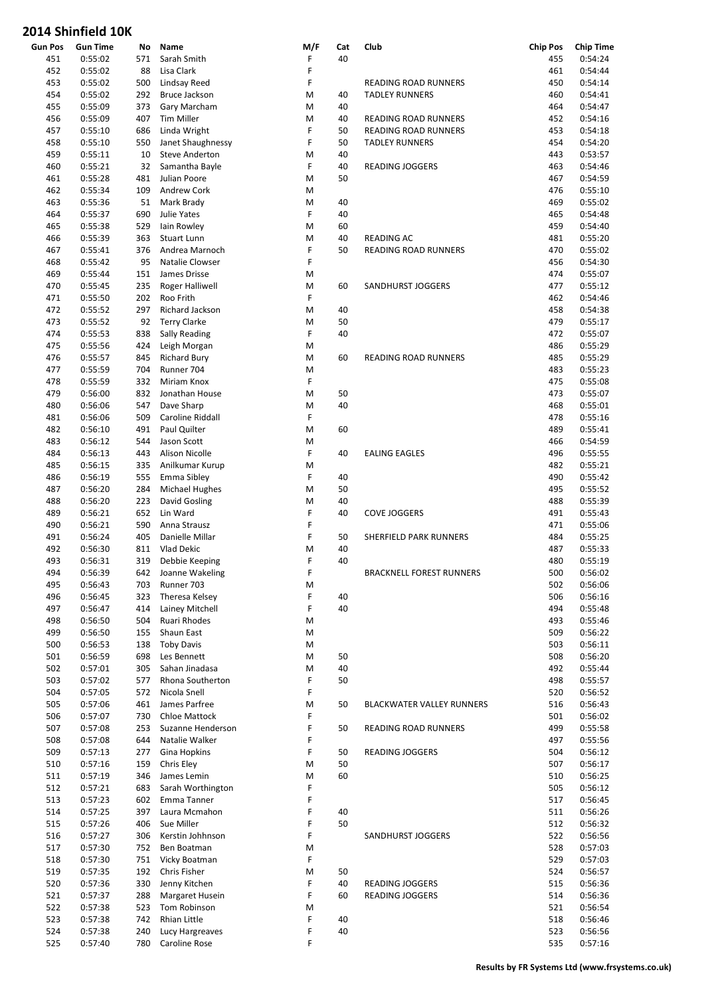| <b>Gun Pos</b> | <b>Gun Time</b> | No  | Name                   | M/F | Cat | Club                            | <b>Chip Pos</b> | <b>Chip Time</b> |
|----------------|-----------------|-----|------------------------|-----|-----|---------------------------------|-----------------|------------------|
| 451            | 0:55:02         | 571 | Sarah Smith            | F   | 40  |                                 | 455             | 0:54:24          |
| 452            | 0:55:02         | 88  | Lisa Clark             | F   |     |                                 | 461             | 0:54:44          |
| 453            | 0:55:02         | 500 | Lindsay Reed           | F   |     | READING ROAD RUNNERS            | 450             | 0:54:14          |
| 454            | 0:55:02         | 292 | Bruce Jackson          | M   | 40  | <b>TADLEY RUNNERS</b>           | 460             | 0:54:41          |
| 455            | 0:55:09         | 373 | Gary Marcham           | M   | 40  |                                 | 464             | 0:54:47          |
| 456            | 0:55:09         | 407 | Tim Miller             | M   | 40  | READING ROAD RUNNERS            | 452             | 0:54:16          |
| 457            | 0:55:10         | 686 | Linda Wright           | F   | 50  | <b>READING ROAD RUNNERS</b>     | 453             | 0:54:18          |
| 458            | 0:55:10         | 550 | Janet Shaughnessy      | F   | 50  | <b>TADLEY RUNNERS</b>           | 454             | 0:54:20          |
| 459            | 0:55:11         | 10  | <b>Steve Anderton</b>  | M   | 40  |                                 | 443             | 0:53:57          |
| 460            | 0:55:21         | 32  | Samantha Bayle         | F   | 40  | <b>READING JOGGERS</b>          | 463             | 0:54:46          |
| 461            | 0:55:28         | 481 | Julian Poore           | M   | 50  |                                 | 467             | 0:54:59          |
|                | 0:55:34         |     |                        |     |     |                                 |                 |                  |
| 462            |                 | 109 | Andrew Cork            | M   |     |                                 | 476             | 0:55:10          |
| 463            | 0:55:36         | 51  | Mark Brady             | M   | 40  |                                 | 469             | 0:55:02          |
| 464            | 0:55:37         | 690 | Julie Yates            | F   | 40  |                                 | 465             | 0:54:48          |
| 465            | 0:55:38         | 529 | lain Rowley            | M   | 60  |                                 | 459             | 0:54:40          |
| 466            | 0:55:39         | 363 | Stuart Lunn            | M   | 40  | <b>READING AC</b>               | 481             | 0:55:20          |
| 467            | 0:55:41         | 376 | Andrea Marnoch         | F   | 50  | READING ROAD RUNNERS            | 470             | 0:55:02          |
| 468            | 0:55:42         | 95  | Natalie Clowser        | F   |     |                                 | 456             | 0:54:30          |
| 469            | 0:55:44         | 151 | James Drisse           | M   |     |                                 | 474             | 0:55:07          |
| 470            | 0:55:45         | 235 | <b>Roger Halliwell</b> | M   | 60  | SANDHURST JOGGERS               | 477             | 0:55:12          |
| 471            | 0:55:50         | 202 | Roo Frith              | F   |     |                                 | 462             | 0:54:46          |
| 472            | 0:55:52         | 297 | Richard Jackson        | M   | 40  |                                 | 458             | 0:54:38          |
| 473            | 0:55:52         | 92  | <b>Terry Clarke</b>    | M   | 50  |                                 | 479             | 0:55:17          |
| 474            | 0:55:53         | 838 | Sally Reading          | F   | 40  |                                 | 472             | 0:55:07          |
| 475            | 0:55:56         | 424 | Leigh Morgan           | M   |     |                                 | 486             | 0:55:29          |
|                |                 |     |                        |     | 60  |                                 | 485             | 0:55:29          |
| 476            | 0:55:57         | 845 | <b>Richard Bury</b>    | M   |     | <b>READING ROAD RUNNERS</b>     |                 |                  |
| 477            | 0:55:59         | 704 | Runner 704             | M   |     |                                 | 483             | 0:55:23          |
| 478            | 0:55:59         | 332 | <b>Miriam Knox</b>     | F   |     |                                 | 475             | 0:55:08          |
| 479            | 0:56:00         | 832 | Jonathan House         | M   | 50  |                                 | 473             | 0:55:07          |
| 480            | 0:56:06         | 547 | Dave Sharp             | M   | 40  |                                 | 468             | 0:55:01          |
| 481            | 0:56:06         | 509 | Caroline Riddall       | F   |     |                                 | 478             | 0:55:16          |
| 482            | 0:56:10         | 491 | Paul Quilter           | M   | 60  |                                 | 489             | 0:55:41          |
| 483            | 0:56:12         | 544 | Jason Scott            | M   |     |                                 | 466             | 0:54:59          |
| 484            | 0:56:13         | 443 | <b>Alison Nicolle</b>  | F   | 40  | <b>EALING EAGLES</b>            | 496             | 0:55:55          |
| 485            | 0:56:15         | 335 | Anilkumar Kurup        | M   |     |                                 | 482             | 0:55:21          |
| 486            | 0:56:19         | 555 | Emma Sibley            | F   | 40  |                                 | 490             | 0:55:42          |
| 487            | 0:56:20         | 284 | Michael Hughes         | M   | 50  |                                 | 495             | 0:55:52          |
| 488            | 0:56:20         | 223 | David Gosling          | M   | 40  |                                 | 488             | 0:55:39          |
| 489            | 0:56:21         | 652 | Lin Ward               | F   | 40  | <b>COVE JOGGERS</b>             | 491             | 0:55:43          |
|                |                 |     |                        | F   |     |                                 |                 |                  |
| 490            | 0:56:21         | 590 | Anna Strausz           |     |     |                                 | 471             | 0:55:06          |
| 491            | 0:56:24         | 405 | Danielle Millar        | F   | 50  | SHERFIELD PARK RUNNERS          | 484             | 0:55:25          |
| 492            | 0:56:30         | 811 | Vlad Dekic             | M   | 40  |                                 | 487             | 0:55:33          |
| 493            | 0:56:31         | 319 | Debbie Keeping         | F   | 40  |                                 | 480             | 0:55:19          |
| 494            | 0:56:39         |     | 642 Joanne Wakeling    | F   |     | <b>BRACKNELL FOREST RUNNERS</b> | 500             | 0:56:02          |
| 495            | 0:56:43         | 703 | Runner 703             | M   |     |                                 | 502             | 0:56:06          |
| 496            | 0:56:45         | 323 | Theresa Kelsey         | F   | 40  |                                 | 506             | 0:56:16          |
| 497            | 0:56:47         | 414 | Lainey Mitchell        | F   | 40  |                                 | 494             | 0:55:48          |
| 498            | 0:56:50         | 504 | Ruari Rhodes           | M   |     |                                 | 493             | 0:55:46          |
| 499            | 0:56:50         | 155 | Shaun East             | M   |     |                                 | 509             | 0:56:22          |
| 500            | 0:56:53         | 138 | <b>Toby Davis</b>      | M   |     |                                 | 503             | 0:56:11          |
| 501            | 0:56:59         | 698 | Les Bennett            | M   | 50  |                                 | 508             | 0:56:20          |
| 502            | 0:57:01         | 305 | Sahan Jinadasa         | M   | 40  |                                 | 492             | 0:55:44          |
| 503            | 0:57:02         | 577 | Rhona Southerton       | F   | 50  |                                 | 498             | 0:55:57          |
| 504            | 0:57:05         | 572 | Nicola Snell           | F   |     |                                 | 520             | 0:56:52          |
| 505            | 0:57:06         | 461 | James Parfree          | M   | 50  | BLACKWATER VALLEY RUNNERS       | 516             | 0:56:43          |
| 506            | 0:57:07         | 730 | Chloe Mattock          | F   |     |                                 | 501             | 0:56:02          |
|                |                 |     |                        |     |     |                                 |                 |                  |
| 507            | 0:57:08         | 253 | Suzanne Henderson      | F   | 50  | READING ROAD RUNNERS            | 499             | 0:55:58          |
| 508            | 0:57:08         | 644 | Natalie Walker         | F   |     |                                 | 497             | 0:55:56          |
| 509            | 0:57:13         | 277 | Gina Hopkins           | F   | 50  | <b>READING JOGGERS</b>          | 504             | 0:56:12          |
| 510            | 0:57:16         | 159 | Chris Eley             | M   | 50  |                                 | 507             | 0:56:17          |
| 511            | 0:57:19         | 346 | James Lemin            | M   | 60  |                                 | 510             | 0:56:25          |
| 512            | 0:57:21         | 683 | Sarah Worthington      | F   |     |                                 | 505             | 0:56:12          |
| 513            | 0:57:23         | 602 | Emma Tanner            | F   |     |                                 | 517             | 0:56:45          |
| 514            | 0:57:25         | 397 | Laura Mcmahon          | F   | 40  |                                 | 511             | 0:56:26          |
| 515            | 0:57:26         | 406 | Sue Miller             | F   | 50  |                                 | 512             | 0:56:32          |
| 516            | 0:57:27         | 306 | Kerstin Johhnson       | F   |     | SANDHURST JOGGERS               | 522             | 0:56:56          |
| 517            | 0:57:30         | 752 | Ben Boatman            | M   |     |                                 | 528             | 0:57:03          |
| 518            | 0:57:30         | 751 | Vicky Boatman          | F   |     |                                 | 529             | 0:57:03          |
| 519            | 0:57:35         | 192 | Chris Fisher           | M   | 50  |                                 | 524             | 0:56:57          |
|                |                 |     |                        | F   | 40  |                                 |                 |                  |
| 520            | 0:57:36         | 330 | Jenny Kitchen          |     |     | <b>READING JOGGERS</b>          | 515             | 0:56:36          |
| 521            | 0:57:37         | 288 | <b>Margaret Husein</b> | F   | 60  | <b>READING JOGGERS</b>          | 514             | 0:56:36          |
| 522            | 0:57:38         | 523 | Tom Robinson           | M   |     |                                 | 521             | 0:56:54          |
| 523            | 0:57:38         | 742 | Rhian Little           | F   | 40  |                                 | 518             | 0:56:46          |
| 524            | 0:57:38         | 240 | Lucy Hargreaves        | F   | 40  |                                 | 523             | 0:56:56          |
| 525            | 0:57:40         | 780 | Caroline Rose          | F   |     |                                 | 535             | 0:57:16          |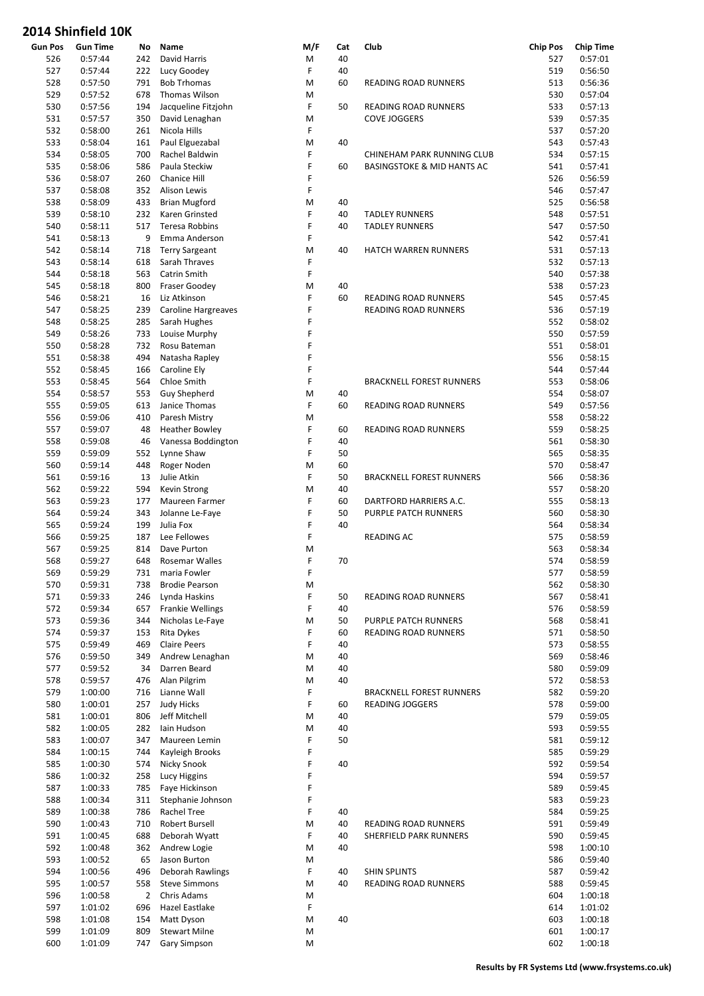| <b>Gun Pos</b> | <b>Gun Time</b> | No             | Name                  | M/F | Cat | Club                                  | <b>Chip Pos</b> | <b>Chip Time</b> |
|----------------|-----------------|----------------|-----------------------|-----|-----|---------------------------------------|-----------------|------------------|
| 526            | 0:57:44         | 242            | David Harris          | M   | 40  |                                       | 527             | 0:57:01          |
| 527            | 0:57:44         | 222            | Lucy Goodey           | F   | 40  |                                       | 519             | 0:56:50          |
| 528            | 0:57:50         | 791            | <b>Bob Trhomas</b>    | M   | 60  | READING ROAD RUNNERS                  | 513             | 0:56:36          |
| 529            | 0:57:52         | 678            | Thomas Wilson         | M   |     |                                       | 530             | 0:57:04          |
| 530            | 0:57:56         | 194            | Jacqueline Fitzjohn   | F   | 50  | READING ROAD RUNNERS                  | 533             | 0:57:13          |
| 531            | 0:57:57         | 350            | David Lenaghan        | M   |     | <b>COVE JOGGERS</b>                   | 539             | 0:57:35          |
| 532            | 0:58:00         | 261            | Nicola Hills          | F   |     |                                       | 537             | 0:57:20          |
| 533            | 0:58:04         | 161            | Paul Elguezabal       | M   | 40  |                                       | 543             | 0:57:43          |
| 534            | 0:58:05         | 700            | Rachel Baldwin        | F   |     | CHINEHAM PARK RUNNING CLUB            | 534             | 0:57:15          |
| 535            | 0:58:06         | 586            | Paula Steckiw         | F   | 60  | <b>BASINGSTOKE &amp; MID HANTS AC</b> | 541             | 0:57:41          |
| 536            | 0:58:07         | 260            | Chanice Hill          | F   |     |                                       | 526             | 0:56:59          |
| 537            |                 | 352            | Alison Lewis          | F   |     |                                       | 546             | 0:57:47          |
|                | 0:58:08         |                |                       |     |     |                                       |                 |                  |
| 538            | 0:58:09         | 433            | <b>Brian Mugford</b>  | M   | 40  |                                       | 525             | 0:56:58          |
| 539            | 0:58:10         | 232            | Karen Grinsted        | F   | 40  | <b>TADLEY RUNNERS</b>                 | 548             | 0:57:51          |
| 540            | 0:58:11         | 517            | Teresa Robbins        | F   | 40  | <b>TADLEY RUNNERS</b>                 | 547             | 0:57:50          |
| 541            | 0:58:13         | 9              | Emma Anderson         | F   |     |                                       | 542             | 0:57:41          |
| 542            | 0:58:14         | 718            | <b>Terry Sargeant</b> | M   | 40  | HATCH WARREN RUNNERS                  | 531             | 0:57:13          |
| 543            | 0:58:14         | 618            | Sarah Thraves         | F   |     |                                       | 532             | 0:57:13          |
| 544            | 0:58:18         | 563            | Catrin Smith          | F   |     |                                       | 540             | 0:57:38          |
| 545            | 0:58:18         | 800            | <b>Fraser Goodey</b>  | M   | 40  |                                       | 538             | 0:57:23          |
| 546            | 0:58:21         | 16             | Liz Atkinson          | F   | 60  | READING ROAD RUNNERS                  | 545             | 0:57:45          |
| 547            | 0:58:25         | 239            | Caroline Hargreaves   | F   |     | READING ROAD RUNNERS                  | 536             | 0:57:19          |
| 548            | 0:58:25         | 285            | Sarah Hughes          | F   |     |                                       | 552             | 0:58:02          |
| 549            | 0:58:26         | 733            | Louise Murphy         | F   |     |                                       | 550             | 0:57:59          |
| 550            | 0:58:28         | 732            | Rosu Bateman          | F   |     |                                       | 551             | 0:58:01          |
| 551            | 0:58:38         | 494            | Natasha Rapley        | F   |     |                                       | 556             | 0:58:15          |
| 552            | 0:58:45         | 166            | Caroline Ely          | F   |     |                                       | 544             | 0:57:44          |
|                |                 |                |                       | F   |     |                                       |                 |                  |
| 553            | 0:58:45         | 564            | Chloe Smith           |     |     | <b>BRACKNELL FOREST RUNNERS</b>       | 553             | 0:58:06          |
| 554            | 0:58:57         | 553            | <b>Guy Shepherd</b>   | M   | 40  |                                       | 554             | 0:58:07          |
| 555            | 0:59:05         | 613            | Janice Thomas         | F   | 60  | READING ROAD RUNNERS                  | 549             | 0:57:56          |
| 556            | 0:59:06         | 410            | Paresh Mistry         | M   |     |                                       | 558             | 0:58:22          |
| 557            | 0:59:07         | 48             | <b>Heather Bowley</b> | F   | 60  | READING ROAD RUNNERS                  | 559             | 0:58:25          |
| 558            | 0:59:08         | 46             | Vanessa Boddington    | F   | 40  |                                       | 561             | 0:58:30          |
| 559            | 0:59:09         | 552            | Lynne Shaw            | F   | 50  |                                       | 565             | 0:58:35          |
| 560            | 0:59:14         | 448            | Roger Noden           | M   | 60  |                                       | 570             | 0:58:47          |
| 561            | 0:59:16         | 13             | Julie Atkin           | F   | 50  | <b>BRACKNELL FOREST RUNNERS</b>       | 566             | 0:58:36          |
| 562            | 0:59:22         | 594            | Kevin Strong          | M   | 40  |                                       | 557             | 0:58:20          |
| 563            | 0:59:23         | 177            | Maureen Farmer        | F   | 60  | DARTFORD HARRIERS A.C.                | 555             | 0:58:13          |
| 564            | 0:59:24         | 343            | Jolanne Le-Faye       | F   | 50  | <b>PURPLE PATCH RUNNERS</b>           | 560             | 0:58:30          |
| 565            | 0:59:24         | 199            | Julia Fox             | F   | 40  |                                       | 564             | 0:58:34          |
| 566            | 0:59:25         | 187            | Lee Fellowes          | F   |     | READING AC                            | 575             | 0:58:59          |
| 567            | 0:59:25         | 814            | Dave Purton           | M   |     |                                       | 563             | 0:58:34          |
| 568            | 0:59:27         | 648            | Rosemar Walles        | F   | 70  |                                       | 574             | 0:58:59          |
|                |                 |                |                       | F   |     |                                       |                 |                  |
| 569            | 0:59:29         | 731            | maria Fowler          |     |     |                                       | 577             | 0:58:59          |
| 570            | 0:59:31         | 738            | <b>Brodie Pearson</b> | M   |     |                                       | 562             | 0:58:30          |
| 571            | 0:59:33         | 246            | Lynda Haskins         | F   | 50  | READING ROAD RUNNERS                  | 567             | 0:58:41          |
| 572            | 0:59:34         | 657            | Frankie Wellings      | F   | 40  |                                       | 576             | 0:58:59          |
| 573            | 0:59:36         | 344            | Nicholas Le-Faye      | M   | 50  | PURPLE PATCH RUNNERS                  | 568             | 0:58:41          |
| 574            | 0:59:37         | 153            | Rita Dykes            | F   | 60  | READING ROAD RUNNERS                  | 571             | 0:58:50          |
| 575            | 0:59:49         | 469            | <b>Claire Peers</b>   | F   | 40  |                                       | 573             | 0:58:55          |
| 576            | 0:59:50         | 349            | Andrew Lenaghan       | M   | 40  |                                       | 569             | 0:58:46          |
| 577            | 0:59:52         | 34             | Darren Beard          | M   | 40  |                                       | 580             | 0:59:09          |
| 578            | 0:59:57         | 476            | Alan Pilgrim          | M   | 40  |                                       | 572             | 0:58:53          |
| 579            | 1:00:00         | 716            | Lianne Wall           | F   |     | <b>BRACKNELL FOREST RUNNERS</b>       | 582             | 0:59:20          |
| 580            | 1:00:01         | 257            | <b>Judy Hicks</b>     | F   | 60  | <b>READING JOGGERS</b>                | 578             | 0:59:00          |
| 581            | 1:00:01         | 806            | Jeff Mitchell         | M   | 40  |                                       | 579             | 0:59:05          |
| 582            | 1:00:05         | 282            | lain Hudson           | M   | 40  |                                       | 593             | 0:59:55          |
| 583            | 1:00:07         | 347            | Maureen Lemin         | F   | 50  |                                       | 581             | 0:59:12          |
| 584            | 1:00:15         | 744            | Kayleigh Brooks       | F   |     |                                       | 585             | 0:59:29          |
| 585            | 1:00:30         | 574            | Nicky Snook           | F   | 40  |                                       | 592             | 0:59:54          |
|                |                 |                |                       | F   |     |                                       |                 |                  |
| 586            | 1:00:32         | 258            | Lucy Higgins          |     |     |                                       | 594             | 0:59:57          |
| 587            | 1:00:33         | 785            | Faye Hickinson        | F   |     |                                       | 589             | 0:59:45          |
| 588            | 1:00:34         | 311            | Stephanie Johnson     | F   |     |                                       | 583             | 0:59:23          |
| 589            | 1:00:38         | 786            | Rachel Tree           | F   | 40  |                                       | 584             | 0:59:25          |
| 590            | 1:00:43         | 710            | Robert Bursell        | M   | 40  | READING ROAD RUNNERS                  | 591             | 0:59:49          |
| 591            | 1:00:45         | 688            | Deborah Wyatt         | F   | 40  | SHERFIELD PARK RUNNERS                | 590             | 0:59:45          |
| 592            | 1:00:48         | 362            | Andrew Logie          | M   | 40  |                                       | 598             | 1:00:10          |
| 593            | 1:00:52         | 65             | Jason Burton          | M   |     |                                       | 586             | 0:59:40          |
| 594            | 1:00:56         | 496            | Deborah Rawlings      | F   | 40  | <b>SHIN SPLINTS</b>                   | 587             | 0:59:42          |
| 595            | 1:00:57         | 558            | <b>Steve Simmons</b>  | M   | 40  | READING ROAD RUNNERS                  | 588             | 0:59:45          |
| 596            | 1:00:58         | $\overline{2}$ | Chris Adams           | M   |     |                                       | 604             | 1:00:18          |
| 597            | 1:01:02         | 696            | Hazel Eastlake        | F   |     |                                       | 614             | 1:01:02          |
| 598            | 1:01:08         | 154            | Matt Dyson            | M   | 40  |                                       | 603             | 1:00:18          |
| 599            | 1:01:09         | 809            | <b>Stewart Milne</b>  | M   |     |                                       | 601             | 1:00:17          |
|                |                 |                |                       |     |     |                                       |                 |                  |
| 600            | 1:01:09         | 747            | <b>Gary Simpson</b>   | M   |     |                                       | 602             | 1:00:18          |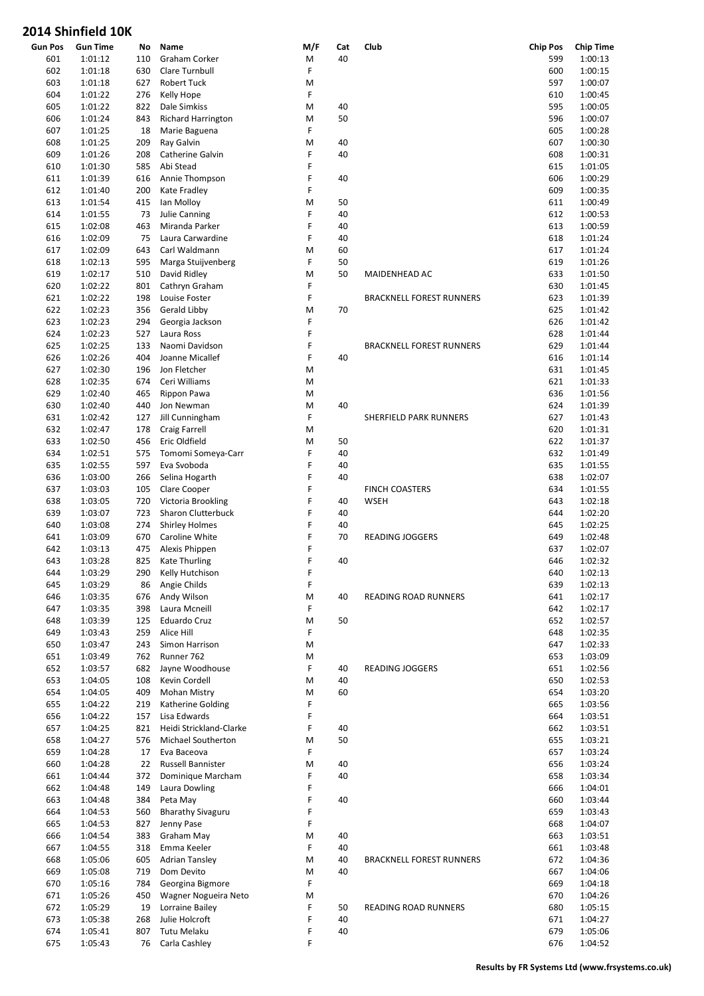| <b>Gun Pos</b> | <b>Gun Time</b> | No  | Name                      | M/F    | Cat | Club                            | <b>Chip Pos</b> | <b>Chip Time</b> |
|----------------|-----------------|-----|---------------------------|--------|-----|---------------------------------|-----------------|------------------|
| 601            | 1:01:12         | 110 | Graham Corker             | M      | 40  |                                 | 599             | 1:00:13          |
| 602            | 1:01:18         | 630 | Clare Turnbull            | F      |     |                                 | 600             | 1:00:15          |
| 603            | 1:01:18         | 627 | <b>Robert Tuck</b>        | M      |     |                                 | 597             | 1:00:07          |
| 604            | 1:01:22         | 276 | Kelly Hope                | F      |     |                                 | 610             | 1:00:45          |
| 605            | 1:01:22         | 822 | Dale Simkiss              | M      | 40  |                                 | 595             | 1:00:05          |
| 606            | 1:01:24         | 843 | <b>Richard Harrington</b> | M      | 50  |                                 | 596             | 1:00:07          |
| 607            | 1:01:25         | 18  | Marie Baguena             | F.     |     |                                 | 605             | 1:00:28          |
| 608            | 1:01:25         | 209 | Ray Galvin                | M      | 40  |                                 | 607             | 1:00:30          |
| 609            | 1:01:26         | 208 | Catherine Galvin          | F      | 40  |                                 | 608             | 1:00:31          |
| 610            | 1:01:30         | 585 | Abi Stead                 | F      |     |                                 | 615             | 1:01:05          |
| 611            | 1:01:39         | 616 | Annie Thompson            | F      | 40  |                                 | 606             | 1:00:29          |
| 612            | 1:01:40         | 200 | Kate Fradley              | F      |     |                                 | 609             | 1:00:35          |
| 613            | 1:01:54         | 415 | Ian Molloy                | M      | 50  |                                 | 611             | 1:00:49          |
| 614            | 1:01:55         | 73  | Julie Canning             | F      | 40  |                                 | 612             | 1:00:53          |
| 615            | 1:02:08         | 463 | Miranda Parker            | F      | 40  |                                 | 613             | 1:00:59          |
| 616            | 1:02:09         | 75  | Laura Carwardine          | F      | 40  |                                 | 618             | 1:01:24          |
| 617            | 1:02:09         | 643 | Carl Waldmann             | M      | 60  |                                 | 617             | 1:01:24          |
| 618            | 1:02:13         | 595 | Marga Stuijvenberg        | F      | 50  |                                 | 619             | 1:01:26          |
|                | 1:02:17         |     |                           |        | 50  |                                 | 633             | 1:01:50          |
| 619            |                 | 510 | David Ridley              | M<br>F |     | MAIDENHEAD AC                   |                 |                  |
| 620            | 1:02:22         | 801 | Cathryn Graham            | F      |     |                                 | 630             | 1:01:45          |
| 621            | 1:02:22         | 198 | Louise Foster             |        |     | <b>BRACKNELL FOREST RUNNERS</b> | 623             | 1:01:39          |
| 622            | 1:02:23         | 356 | Gerald Libby              | M      | 70  |                                 | 625             | 1:01:42          |
| 623            | 1:02:23         | 294 | Georgia Jackson           | F      |     |                                 | 626             | 1:01:42          |
| 624            | 1:02:23         | 527 | Laura Ross                | F      |     |                                 | 628             | 1:01:44          |
| 625            | 1:02:25         | 133 | Naomi Davidson            | F      |     | <b>BRACKNELL FOREST RUNNERS</b> | 629             | 1:01:44          |
| 626            | 1:02:26         | 404 | Joanne Micallef           | F      | 40  |                                 | 616             | 1:01:14          |
| 627            | 1:02:30         | 196 | Jon Fletcher              | M      |     |                                 | 631             | 1:01:45          |
| 628            | 1:02:35         | 674 | Ceri Williams             | M      |     |                                 | 621             | 1:01:33          |
| 629            | 1:02:40         | 465 | Rippon Pawa               | M      |     |                                 | 636             | 1:01:56          |
| 630            | 1:02:40         | 440 | Jon Newman                | M      | 40  |                                 | 624             | 1:01:39          |
| 631            | 1:02:42         | 127 | Jill Cunningham           | F      |     | SHERFIELD PARK RUNNERS          | 627             | 1:01:43          |
| 632            | 1:02:47         | 178 | Craig Farrell             | M      |     |                                 | 620             | 1:01:31          |
| 633            | 1:02:50         | 456 | Eric Oldfield             | M      | 50  |                                 | 622             | 1:01:37          |
| 634            | 1:02:51         | 575 | Tomomi Someya-Carr        | F      | 40  |                                 | 632             | 1:01:49          |
| 635            | 1:02:55         | 597 | Eva Svoboda               | F      | 40  |                                 | 635             | 1:01:55          |
| 636            | 1:03:00         | 266 | Selina Hogarth            | F      | 40  |                                 | 638             | 1:02:07          |
| 637            | 1:03:03         | 105 | Clare Cooper              | F      |     | <b>FINCH COASTERS</b>           | 634             | 1:01:55          |
| 638            | 1:03:05         | 720 | Victoria Brookling        | F      | 40  | WSEH                            | 643             | 1:02:18          |
| 639            | 1:03:07         | 723 | Sharon Clutterbuck        | F      | 40  |                                 | 644             | 1:02:20          |
| 640            | 1:03:08         | 274 | <b>Shirley Holmes</b>     | F      | 40  |                                 | 645             | 1:02:25          |
| 641            | 1:03:09         | 670 | Caroline White            | F      | 70  | READING JOGGERS                 | 649             | 1:02:48          |
| 642            | 1:03:13         | 475 | Alexis Phippen            | F      |     |                                 | 637             | 1:02:07          |
| 643            | 1:03:28         | 825 | <b>Kate Thurling</b>      | F      | 40  |                                 | 646             | 1:02:32          |
| 644            | 1:03:29         | 290 | Kelly Hutchison           | F      |     |                                 | 640             | 1:02:13          |
| 645            | 1:03:29         | 86  | Angie Childs              | F      |     |                                 | 639             | 1:02:13          |
| 646            | 1:03:35         | 676 | Andy Wilson               | M      | 40  | <b>READING ROAD RUNNERS</b>     | 641             | 1:02:17          |
|                |                 |     | Laura Mcneill             | F      |     |                                 |                 |                  |
| 647            | 1:03:35         | 398 |                           |        |     |                                 | 642             | 1:02:17          |
| 648            | 1:03:39         | 125 | Eduardo Cruz              | M      | 50  |                                 | 652             | 1:02:57          |
| 649            | 1:03:43         | 259 | Alice Hill                | F      |     |                                 | 648             | 1:02:35          |
| 650            | 1:03:47         | 243 | Simon Harrison            | M      |     |                                 | 647             | 1:02:33          |
| 651            | 1:03:49         | 762 | Runner 762                | M      |     |                                 | 653             | 1:03:09          |
| 652            | 1:03:57         | 682 | Jayne Woodhouse           | F      | 40  | <b>READING JOGGERS</b>          | 651             | 1:02:56          |
| 653            | 1:04:05         | 108 | Kevin Cordell             | M      | 40  |                                 | 650             | 1:02:53          |
| 654            | 1:04:05         | 409 | Mohan Mistry              | M      | 60  |                                 | 654             | 1:03:20          |
| 655            | 1:04:22         | 219 | Katherine Golding         | F      |     |                                 | 665             | 1:03:56          |
| 656            | 1:04:22         | 157 | Lisa Edwards              | F      |     |                                 | 664             | 1:03:51          |
| 657            | 1:04:25         | 821 | Heidi Strickland-Clarke   | F      | 40  |                                 | 662             | 1:03:51          |
| 658            | 1:04:27         | 576 | Michael Southerton        | M      | 50  |                                 | 655             | 1:03:21          |
| 659            | 1:04:28         | 17  | Eva Baceova               | F      |     |                                 | 657             | 1:03:24          |
| 660            | 1:04:28         | 22  | Russell Bannister         | M      | 40  |                                 | 656             | 1:03:24          |
| 661            | 1:04:44         | 372 | Dominique Marcham         | F      | 40  |                                 | 658             | 1:03:34          |
| 662            | 1:04:48         | 149 | Laura Dowling             | F      |     |                                 | 666             | 1:04:01          |
| 663            | 1:04:48         | 384 | Peta May                  | F      | 40  |                                 | 660             | 1:03:44          |
| 664            | 1:04:53         | 560 | <b>Bharathy Sivaguru</b>  | F      |     |                                 | 659             | 1:03:43          |
| 665            | 1:04:53         | 827 | Jenny Pase                | F      |     |                                 | 668             | 1:04:07          |
| 666            | 1:04:54         | 383 | Graham May                | M      | 40  |                                 | 663             | 1:03:51          |
| 667            | 1:04:55         | 318 | Emma Keeler               | F      | 40  |                                 | 661             | 1:03:48          |
| 668            | 1:05:06         | 605 | <b>Adrian Tansley</b>     | M      | 40  | <b>BRACKNELL FOREST RUNNERS</b> | 672             | 1:04:36          |
| 669            | 1:05:08         | 719 | Dom Devito                | M      | 40  |                                 | 667             | 1:04:06          |
| 670            | 1:05:16         | 784 | Georgina Bigmore          | F      |     |                                 | 669             | 1:04:18          |
| 671            | 1:05:26         | 450 | Wagner Nogueira Neto      | M      |     |                                 | 670             | 1:04:26          |
| 672            | 1:05:29         |     | Lorraine Bailey           | F      |     | READING ROAD RUNNERS            | 680             | 1:05:15          |
|                |                 | 19  |                           |        | 50  |                                 |                 |                  |
| 673            | 1:05:38         | 268 | Julie Holcroft            | F      | 40  |                                 | 671             | 1:04:27          |
| 674            | 1:05:41         | 807 | Tutu Melaku               | F      | 40  |                                 | 679             | 1:05:06          |
| 675            | 1:05:43         | 76  | Carla Cashley             | F      |     |                                 | 676             | 1:04:52          |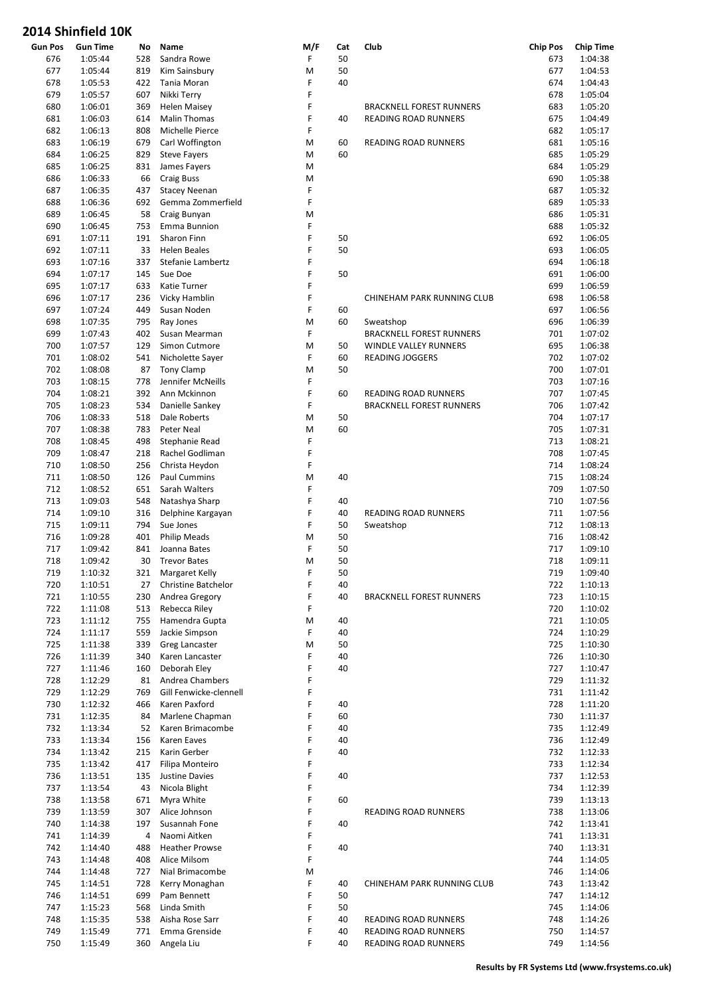| <b>Gun Pos</b> | <b>Gun Time</b> | No  | Name                   | M/F | Cat | Club                            | <b>Chip Pos</b> | <b>Chip Time</b> |
|----------------|-----------------|-----|------------------------|-----|-----|---------------------------------|-----------------|------------------|
| 676            | 1:05:44         | 528 | Sandra Rowe            | F   | 50  |                                 | 673             | 1:04:38          |
| 677            | 1:05:44         | 819 | Kim Sainsbury          | M   | 50  |                                 | 677             | 1:04:53          |
| 678            | 1:05:53         | 422 | Tania Moran            | F   | 40  |                                 | 674             | 1:04:43          |
| 679            | 1:05:57         | 607 | Nikki Terry            | F   |     |                                 | 678             | 1:05:04          |
| 680            | 1:06:01         | 369 | <b>Helen Maisey</b>    | F   |     | <b>BRACKNELL FOREST RUNNERS</b> | 683             | 1:05:20          |
| 681            | 1:06:03         | 614 | <b>Malin Thomas</b>    | F   | 40  | READING ROAD RUNNERS            | 675             | 1:04:49          |
| 682            | 1:06:13         | 808 | Michelle Pierce        | F   |     |                                 | 682             | 1:05:17          |
| 683            | 1:06:19         | 679 | Carl Woffington        | M   | 60  | READING ROAD RUNNERS            | 681             | 1:05:16          |
| 684            | 1:06:25         | 829 | <b>Steve Fayers</b>    | M   | 60  |                                 | 685             | 1:05:29          |
| 685            | 1:06:25         | 831 | James Fayers           | M   |     |                                 | 684             | 1:05:29          |
| 686            | 1:06:33         | 66  | <b>Craig Buss</b>      | M   |     |                                 | 690             | 1:05:38          |
| 687            | 1:06:35         | 437 | <b>Stacey Neenan</b>   | F   |     |                                 | 687             | 1:05:32          |
| 688            | 1:06:36         | 692 | Gemma Zommerfield      | F   |     |                                 | 689             | 1:05:33          |
| 689            | 1:06:45         | 58  | Craig Bunyan           | M   |     |                                 | 686             | 1:05:31          |
| 690            | 1:06:45         | 753 | Emma Bunnion           | F   |     |                                 | 688             | 1:05:32          |
| 691            | 1:07:11         | 191 | Sharon Finn            | F   | 50  |                                 | 692             | 1:06:05          |
| 692            | 1:07:11         | 33  | <b>Helen Beales</b>    | F   | 50  |                                 | 693             | 1:06:05          |
| 693            | 1:07:16         | 337 | Stefanie Lambertz      | F   |     |                                 | 694             | 1:06:18          |
| 694            | 1:07:17         | 145 | Sue Doe                | F   | 50  |                                 | 691             | 1:06:00          |
|                |                 |     |                        | F   |     |                                 |                 |                  |
| 695            | 1:07:17         | 633 | Katie Turner           |     |     |                                 | 699             | 1:06:59          |
| 696            | 1:07:17         | 236 | Vicky Hamblin          | F   |     | CHINEHAM PARK RUNNING CLUB      | 698             | 1:06:58          |
| 697            | 1:07:24         | 449 | Susan Noden            | F   | 60  |                                 | 697             | 1:06:56          |
| 698            | 1:07:35         | 795 | Ray Jones              | M   | 60  | Sweatshop                       | 696             | 1:06:39          |
| 699            | 1:07:43         | 402 | Susan Mearman          | F   |     | <b>BRACKNELL FOREST RUNNERS</b> | 701             | 1:07:02          |
| 700            | 1:07:57         | 129 | Simon Cutmore          | M   | 50  | WINDLE VALLEY RUNNERS           | 695             | 1:06:38          |
| 701            | 1:08:02         | 541 | Nicholette Sayer       | F   | 60  | <b>READING JOGGERS</b>          | 702             | 1:07:02          |
| 702            | 1:08:08         | 87  | Tony Clamp             | M   | 50  |                                 | 700             | 1:07:01          |
| 703            | 1:08:15         | 778 | Jennifer McNeills      | F   |     |                                 | 703             | 1:07:16          |
| 704            | 1:08:21         | 392 | Ann Mckinnon           | F   | 60  | READING ROAD RUNNERS            | 707             | 1:07:45          |
| 705            | 1:08:23         | 534 | Danielle Sankey        | F   |     | <b>BRACKNELL FOREST RUNNERS</b> | 706             | 1:07:42          |
| 706            | 1:08:33         | 518 | Dale Roberts           | M   | 50  |                                 | 704             | 1:07:17          |
| 707            | 1:08:38         | 783 | Peter Neal             | M   | 60  |                                 | 705             | 1:07:31          |
| 708            | 1:08:45         | 498 | Stephanie Read         | F   |     |                                 | 713             | 1:08:21          |
| 709            | 1:08:47         | 218 | Rachel Godliman        | F   |     |                                 | 708             | 1:07:45          |
| 710            | 1:08:50         | 256 | Christa Heydon         | F   |     |                                 | 714             | 1:08:24          |
| 711            | 1:08:50         | 126 | <b>Paul Cummins</b>    | M   | 40  |                                 | 715             | 1:08:24          |
| 712            | 1:08:52         | 651 | Sarah Walters          | F   |     |                                 | 709             | 1:07:50          |
| 713            | 1:09:03         | 548 | Natashya Sharp         | F   | 40  |                                 | 710             | 1:07:56          |
| 714            | 1:09:10         | 316 | Delphine Kargayan      | F   | 40  | READING ROAD RUNNERS            | 711             | 1:07:56          |
| 715            | 1:09:11         | 794 | Sue Jones              | F   | 50  | Sweatshop                       | 712             | 1:08:13          |
| 716            | 1:09:28         | 401 | <b>Philip Meads</b>    | M   | 50  |                                 | 716             | 1:08:42          |
| 717            | 1:09:42         | 841 | Joanna Bates           | F   | 50  |                                 | 717             | 1:09:10          |
| 718            | 1:09:42         | 30  | <b>Trevor Bates</b>    | M   | 50  |                                 | 718             | 1:09:11          |
| 719            | 1:10:32         | 321 | Margaret Kelly         | F   | 50  |                                 | 719             | 1:09:40          |
| 720            | 1:10:51         | 27  | Christine Batchelor    | F   | 40  |                                 | 722             | 1:10:13          |
| 721            | 1:10:55         | 230 | Andrea Gregory         | F   | 40  | <b>BRACKNELL FOREST RUNNERS</b> | 723             | 1:10:15          |
| 722            | 1:11:08         | 513 | Rebecca Riley          | F   |     |                                 | 720             | 1:10:02          |
| 723            | 1:11:12         | 755 | Hamendra Gupta         | M   | 40  |                                 | 721             | 1:10:05          |
|                |                 |     |                        | F.  |     |                                 |                 |                  |
| 724            | 1:11:17         | 559 | Jackie Simpson         |     | 40  |                                 | 724             | 1:10:29          |
| 725            | 1:11:38         | 339 | Greg Lancaster         | M   | 50  |                                 | 725             | 1:10:30          |
| 726            | 1:11:39         | 340 | Karen Lancaster        | F   | 40  |                                 | 726             | 1:10:30          |
| 727            | 1:11:46         | 160 | Deborah Eley           | F   | 40  |                                 | 727             | 1:10:47          |
| 728            | 1:12:29         | 81  | Andrea Chambers        | F   |     |                                 | 729             | 1:11:32          |
| 729            | 1:12:29         | 769 | Gill Fenwicke-clennell | F   |     |                                 | 731             | 1:11:42          |
| 730            | 1:12:32         | 466 | Karen Paxford          | F   | 40  |                                 | 728             | 1:11:20          |
| 731            | 1:12:35         | 84  | Marlene Chapman        | F   | 60  |                                 | 730             | 1:11:37          |
| 732            | 1:13:34         | 52  | Karen Brimacombe       | F   | 40  |                                 | 735             | 1:12:49          |
| 733            | 1:13:34         | 156 | Karen Eaves            | F   | 40  |                                 | 736             | 1:12:49          |
| 734            | 1:13:42         | 215 | Karin Gerber           | F   | 40  |                                 | 732             | 1:12:33          |
| 735            | 1:13:42         | 417 | Filipa Monteiro        | F   |     |                                 | 733             | 1:12:34          |
| 736            | 1:13:51         | 135 | Justine Davies         | F   | 40  |                                 | 737             | 1:12:53          |
| 737            | 1:13:54         | 43  | Nicola Blight          | F   |     |                                 | 734             | 1:12:39          |
| 738            | 1:13:58         | 671 | Myra White             | F   | 60  |                                 | 739             | 1:13:13          |
| 739            | 1:13:59         | 307 | Alice Johnson          | F   |     | READING ROAD RUNNERS            | 738             | 1:13:06          |
| 740            | 1:14:38         | 197 | Susannah Fone          | F   | 40  |                                 | 742             | 1:13:41          |
| 741            | 1:14:39         | 4   | Naomi Aitken           | F   |     |                                 | 741             | 1:13:31          |
| 742            | 1:14:40         | 488 | <b>Heather Prowse</b>  | F   | 40  |                                 | 740             | 1:13:31          |
| 743            | 1:14:48         | 408 | Alice Milsom           | F   |     |                                 | 744             | 1:14:05          |
| 744            | 1:14:48         | 727 | Nial Brimacombe        | M   |     |                                 | 746             | 1:14:06          |
| 745            | 1:14:51         | 728 | Kerry Monaghan         | F   | 40  | CHINEHAM PARK RUNNING CLUB      | 743             | 1:13:42          |
| 746            | 1:14:51         | 699 | Pam Bennett            | F   | 50  |                                 | 747             | 1:14:12          |
|                |                 |     |                        | F   |     |                                 |                 |                  |
| 747            | 1:15:23         | 568 | Linda Smith            |     | 50  |                                 | 745             | 1:14:06          |
| 748            | 1:15:35         | 538 | Aisha Rose Sarr        | F   | 40  | READING ROAD RUNNERS            | 748             | 1:14:26          |
| 749            | 1:15:49         | 771 | Emma Grenside          | F   | 40  | READING ROAD RUNNERS            | 750             | 1:14:57          |
| 750            | 1:15:49         | 360 | Angela Liu             | F   | 40  | READING ROAD RUNNERS            | 749             | 1:14:56          |